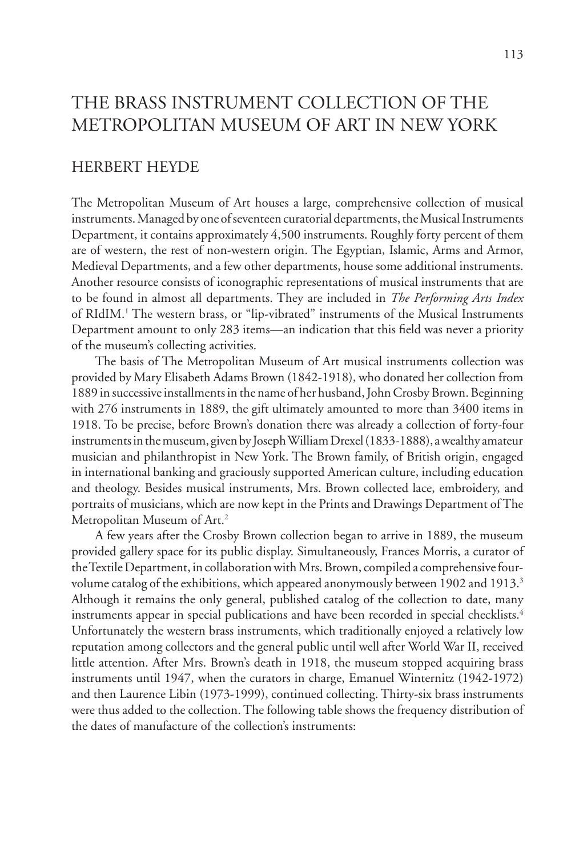# THE BRASS INSTRUMENT COLLECTION OF THE METROPOLITAN MUSEUM OF ART IN NEW YORK

## HERBERT HEYDE

The Metropolitan Museum of Art houses a large, comprehensive collection of musical instruments. Managed by one of seventeen curatorial departments, the Musical Instruments Department, it contains approximately 4,500 instruments. Roughly forty percent of them are of western, the rest of non-western origin. The Egyptian, Islamic, Arms and Armor, Medieval Departments, and a few other departments, house some additional instruments. Another resource consists of iconographic representations of musical instruments that are to be found in almost all departments. They are included in *The Performing Arts Index* of RIdIM.<sup>1</sup> The western brass, or "lip-vibrated" instruments of the Musical Instruments Department amount to only 283 items—an indication that this field was never a priority of the museum's collecting activities.

 The basis of The Metropolitan Museum of Art musical instruments collection was provided by Mary Elisabeth Adams Brown (1842-1918), who donated her collection from 1889 in successive installments in the name of her husband, John Crosby Brown. Beginning with 276 instruments in 1889, the gift ultimately amounted to more than 3400 items in 1918. To be precise, before Brown's donation there was already a collection of forty-four instruments in the museum, given by Joseph William Drexel (1833-1888), a wealthy amateur musician and philanthropist in New York. The Brown family, of British origin, engaged in international banking and graciously supported American culture, including education and theology. Besides musical instruments, Mrs. Brown collected lace, embroidery, and portraits of musicians, which are now kept in the Prints and Drawings Department of The Metropolitan Museum of Art.<sup>2</sup>

 A few years after the Crosby Brown collection began to arrive in 1889, the museum provided gallery space for its public display. Simultaneously, Frances Morris, a curator of the Textile Department, in collaboration with Mrs. Brown, compiled a comprehensive fourvolume catalog of the exhibitions, which appeared anonymously between 1902 and 1913.<sup>3</sup> Although it remains the only general, published catalog of the collection to date, many instruments appear in special publications and have been recorded in special checklists.<sup>4</sup> Unfortunately the western brass instruments, which traditionally enjoyed a relatively low reputation among collectors and the general public until well after World War II, received little attention. After Mrs. Brown's death in 1918, the museum stopped acquiring brass instruments until 1947, when the curators in charge, Emanuel Winternitz (1942-1972) and then Laurence Libin (1973-1999), continued collecting. Thirty-six brass instruments were thus added to the collection. The following table shows the frequency distribution of the dates of manufacture of the collection's instruments: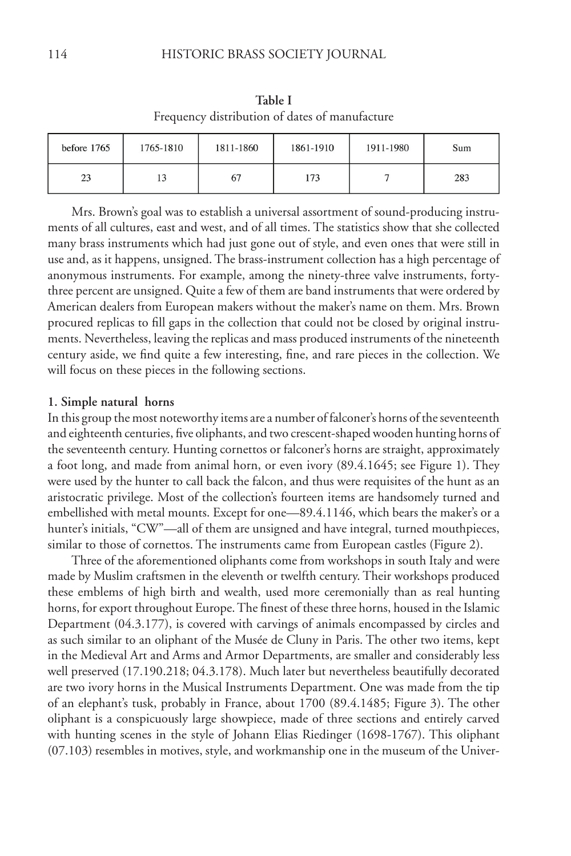| Trequency distribution of dates of manufacture |           |           |           |           |     |  |  |
|------------------------------------------------|-----------|-----------|-----------|-----------|-----|--|--|
| before 1765                                    | 1765-1810 | 1811-1860 | 1861-1910 | 1911-1980 | Sum |  |  |
| 23                                             |           | 67        | 173       |           | 283 |  |  |

**Table I** Frequency distribution of dates of manufacture

 Mrs. Brown's goal was to establish a universal assortment of sound-producing instruments of all cultures, east and west, and of all times. The statistics show that she collected many brass instruments which had just gone out of style, and even ones that were still in use and, as it happens, unsigned. The brass-instrument collection has a high percentage of anonymous instruments. For example, among the ninety-three valve instruments, fortythree percent are unsigned. Quite a few of them are band instruments that were ordered by American dealers from European makers without the maker's name on them. Mrs. Brown procured replicas to fill gaps in the collection that could not be closed by original instruments. Nevertheless, leaving the replicas and mass produced instruments of the nineteenth century aside, we find quite a few interesting, fine, and rare pieces in the collection. We will focus on these pieces in the following sections.

#### **1. Simple natural horns**

In this group the most noteworthy items are a number of falconer's horns of the seventeenth and eighteenth centuries, five oliphants, and two crescent-shaped wooden hunting horns of the seventeenth century. Hunting cornettos or falconer's horns are straight, approximately a foot long, and made from animal horn, or even ivory (89.4.1645; see Figure 1). They were used by the hunter to call back the falcon, and thus were requisites of the hunt as an aristocratic privilege. Most of the collection's fourteen items are handsomely turned and embellished with metal mounts. Except for one—89.4.1146, which bears the maker's or a hunter's initials, "CW"—all of them are unsigned and have integral, turned mouthpieces, similar to those of cornettos. The instruments came from European castles (Figure 2).

 Three of the aforementioned oliphants come from workshops in south Italy and were made by Muslim craftsmen in the eleventh or twelfth century. Their workshops produced these emblems of high birth and wealth, used more ceremonially than as real hunting horns, for export throughout Europe. The finest of these three horns, housed in the Islamic Department (04.3.177), is covered with carvings of animals encompassed by circles and as such similar to an oliphant of the Musée de Cluny in Paris. The other two items, kept in the Medieval Art and Arms and Armor Departments, are smaller and considerably less well preserved (17.190.218; 04.3.178). Much later but nevertheless beautifully decorated are two ivory horns in the Musical Instruments Department. One was made from the tip of an elephant's tusk, probably in France, about 1700 (89.4.1485; Figure 3). The other oliphant is a conspicuously large showpiece, made of three sections and entirely carved with hunting scenes in the style of Johann Elias Riedinger (1698-1767). This oliphant (07.103) resembles in motives, style, and workmanship one in the museum of the Univer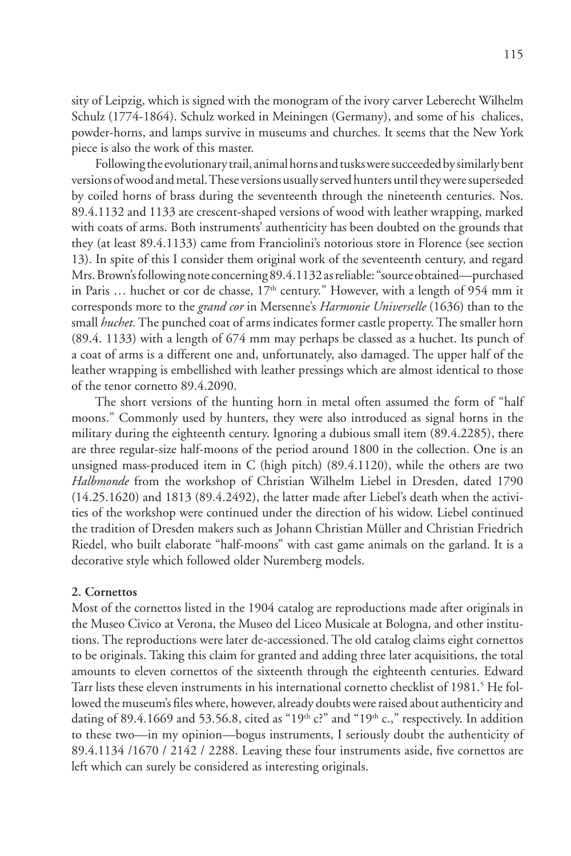sity of Leipzig, which is signed with the monogram of the ivory carver Leberecht Wilhelm Schulz (1774-1864). Schulz worked in Meiningen (Germany), and some of his chalices, powder-horns, and lamps survive in museums and churches. It seems that the New York piece is also the work of this master.

 Following the evolutionary trail, animal horns and tusks were succeeded by similarly bent versions of wood and metal. These versions usually served hunters until they were superseded by coiled horns of brass during the seventeenth through the nineteenth centuries. Nos. 89.4.1132 and 1133 are crescent-shaped versions of wood with leather wrapping, marked with coats of arms. Both instruments' authenticity has been doubted on the grounds that they (at least 89.4.1133) came from Franciolini's notorious store in Florence (see section 13). In spite of this I consider them original work of the seventeenth century, and regard Mrs. Brown's following note concerning 89.4.1132 as reliable: "source obtained—purchased in Paris  $\ldots$  huchet or cor de chasse,  $17<sup>th</sup>$  century." However, with a length of 954 mm it corresponds more to the *grand cor* in Mersenne's *Harmonie Universelle* (1636) than to the small *huchet.* The punched coat of arms indicates former castle property. The smaller horn (89.4. 1133) with a length of 674 mm may perhaps be classed as a huchet. Its punch of a coat of arms is a different one and, unfortunately, also damaged. The upper half of the leather wrapping is embellished with leather pressings which are almost identical to those of the tenor cornetto 89.4.2090.

 The short versions of the hunting horn in metal often assumed the form of "half moons." Commonly used by hunters, they were also introduced as signal horns in the military during the eighteenth century. Ignoring a dubious small item (89.4.2285), there are three regular-size half-moons of the period around 1800 in the collection. One is an unsigned mass-produced item in C (high pitch) (89.4.1120), while the others are two *Halbmonde* from the workshop of Christian Wilhelm Liebel in Dresden, dated 1790 (14.25.1620) and 1813 (89.4.2492), the latter made after Liebel's death when the activities of the workshop were continued under the direction of his widow. Liebel continued the tradition of Dresden makers such as Johann Christian Müller and Christian Friedrich Riedel, who built elaborate "half-moons" with cast game animals on the garland. It is a decorative style which followed older Nuremberg models.

#### **2. Cornettos**

Most of the cornettos listed in the 1904 catalog are reproductions made after originals in the Museo Civico at Verona, the Museo del Liceo Musicale at Bologna, and other institutions. The reproductions were later de-accessioned. The old catalog claims eight cornettos to be originals. Taking this claim for granted and adding three later acquisitions, the total amounts to eleven cornettos of the sixteenth through the eighteenth centuries. Edward Tarr lists these eleven instruments in his international cornetto checklist of 1981.<sup>5</sup> He followed the museum's files where, however, already doubts were raised about authenticity and dating of 89.4.1669 and 53.56.8, cited as "19<sup>th</sup> c?" and "19<sup>th</sup> c.," respectively. In addition to these two—in my opinion—bogus instruments, I seriously doubt the authenticity of 89.4.1134 /1670 / 2142 / 2288. Leaving these four instruments aside, five cornettos are left which can surely be considered as interesting originals.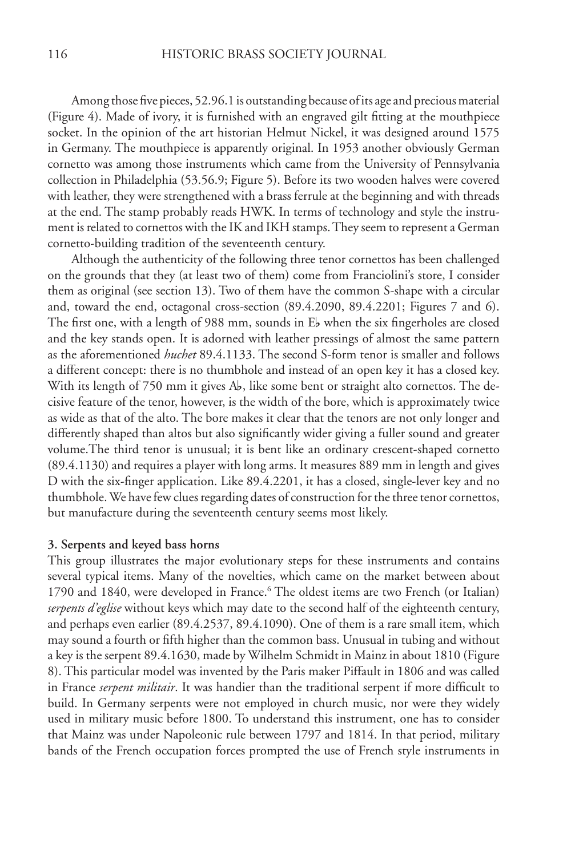Among those five pieces, 52.96.1 is outstanding because of its age and precious material (Figure 4). Made of ivory, it is furnished with an engraved gilt fitting at the mouthpiece socket. In the opinion of the art historian Helmut Nickel, it was designed around 1575 in Germany. The mouthpiece is apparently original. In 1953 another obviously German cornetto was among those instruments which came from the University of Pennsylvania collection in Philadelphia (53.56.9; Figure 5). Before its two wooden halves were covered with leather, they were strengthened with a brass ferrule at the beginning and with threads at the end. The stamp probably reads HWK. In terms of technology and style the instrument is related to cornettos with the IK and IKH stamps. They seem to represent a German cornetto-building tradition of the seventeenth century.

 Although the authenticity of the following three tenor cornettos has been challenged on the grounds that they (at least two of them) come from Franciolini's store, I consider them as original (see section 13). Two of them have the common S-shape with a circular and, toward the end, octagonal cross-section (89.4.2090, 89.4.2201; Figures 7 and 6). The first one, with a length of 988 mm, sounds in  $E_b$  when the six fingerholes are closed and the key stands open. It is adorned with leather pressings of almost the same pattern as the aforementioned *huchet* 89.4.1133. The second S-form tenor is smaller and follows a different concept: there is no thumbhole and instead of an open key it has a closed key. With its length of 750 mm it gives  $A_{b}$ , like some bent or straight alto cornettos. The decisive feature of the tenor, however, is the width of the bore, which is approximately twice as wide as that of the alto. The bore makes it clear that the tenors are not only longer and differently shaped than altos but also significantly wider giving a fuller sound and greater volume.The third tenor is unusual; it is bent like an ordinary crescent-shaped cornetto (89.4.1130) and requires a player with long arms. It measures 889 mm in length and gives D with the six-finger application. Like 89.4.2201, it has a closed, single-lever key and no thumbhole. We have few clues regarding dates of construction for the three tenor cornettos, but manufacture during the seventeenth century seems most likely.

### **3. Serpents and keyed bass horns**

This group illustrates the major evolutionary steps for these instruments and contains several typical items. Many of the novelties, which came on the market between about 1790 and 1840, were developed in France.<sup>6</sup> The oldest items are two French (or Italian) *serpents d'eglise* without keys which may date to the second half of the eighteenth century, and perhaps even earlier (89.4.2537, 89.4.1090). One of them is a rare small item, which may sound a fourth or fifth higher than the common bass. Unusual in tubing and without a key is the serpent 89.4.1630, made by Wilhelm Schmidt in Mainz in about 1810 (Figure 8). This particular model was invented by the Paris maker Piffault in 1806 and was called in France *serpent militair*. It was handier than the traditional serpent if more difficult to build. In Germany serpents were not employed in church music, nor were they widely used in military music before 1800. To understand this instrument, one has to consider that Mainz was under Napoleonic rule between 1797 and 1814. In that period, military bands of the French occupation forces prompted the use of French style instruments in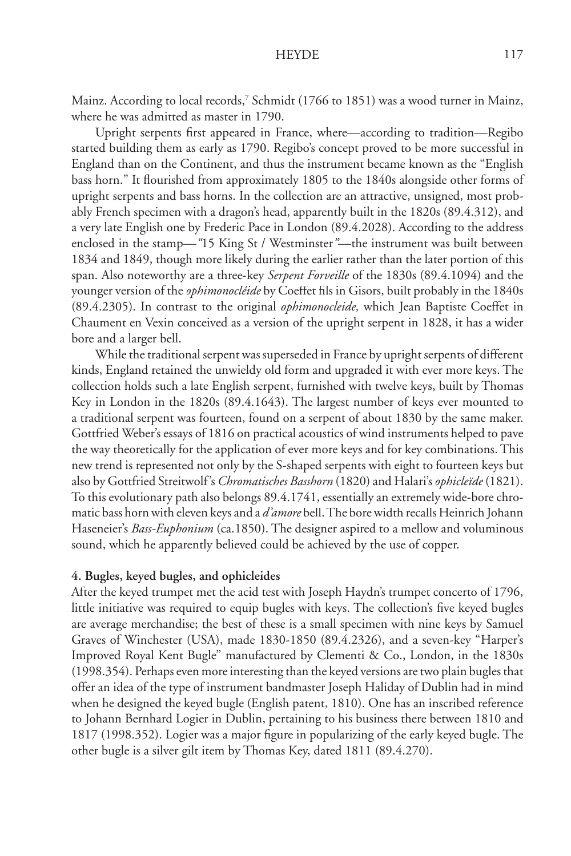Mainz. According to local records,<sup>7</sup> Schmidt (1766 to 1851) was a wood turner in Mainz, where he was admitted as master in 1790.

Upright serpents first appeared in France, where—according to tradition—Regibo started building them as early as 1790. Regibo's concept proved to be more successful in England than on the Continent, and thus the instrument became known as the "English bass horn." It flourished from approximately 1805 to the 1840s alongside other forms of upright serpents and bass horns. In the collection are an attractive, unsigned, most probably French specimen with a dragon's head, apparently built in the 1820s (89.4.312), and a very late English one by Frederic Pace in London (89.4.2028). According to the address enclosed in the stamp—"15 King St / Westminster"—the instrument was built between 1834 and 1849, though more likely during the earlier rather than the later portion of this span. Also noteworthy are a three-key *Serpent Forveille* of the 1830s (89.4.1094) and the younger version of the *ophimonocléide* by Coeffet fils in Gisors, built probably in the 1840s (89.4.2305). In contrast to the original *ophimonocleide,* which Jean Baptiste Coeffet in Chaument en Vexin conceived as a version of the upright serpent in 1828, it has a wider bore and a larger bell.

 While the traditional serpent was superseded in France by upright serpents of different kinds, England retained the unwieldy old form and upgraded it with ever more keys. The collection holds such a late English serpent, furnished with twelve keys, built by Thomas Key in London in the 1820s (89.4.1643). The largest number of keys ever mounted to a traditional serpent was fourteen, found on a serpent of about 1830 by the same maker. Gottfried Weber's essays of 1816 on practical acoustics of wind instruments helped to pave the way theoretically for the application of ever more keys and for key combinations. This new trend is represented not only by the S-shaped serpents with eight to fourteen keys but also by Gottfried Streitwolf's *Chromatisches Basshorn* (1820) and Halari's *ophicleïde* (1821). To this evolutionary path also belongs 89.4.1741, essentially an extremely wide-bore chromatic bass horn with eleven keys and a *d'amore* bell. The bore width recalls Heinrich Johann Johann Haseneier's *Bass-Euphonium* (ca.1850). The designer aspired to a mellow and voluminous sound, which he apparently believed could be achieved by the use of copper.

### **4. Bugles, keyed bugles, and ophicleides**

After the keyed trumpet met the acid test with Joseph Haydn's trumpet concerto of 1796, little initiative was required to equip bugles with keys. The collection's five keyed bugles are average merchandise; the best of these is a small specimen with nine keys by Samuel Graves of Winchester (USA), made 1830-1850 (89.4.2326), and a seven-key "Harper's Improved Royal Kent Bugle" manufactured by Clementi & Co., London, in the 1830s (1998.354). Perhaps even more interesting than the keyed versions are two plain bugles that offer an idea of the type of instrument bandmaster Joseph Haliday of Dublin had in mind when he designed the keyed bugle (English patent, 1810). One has an inscribed reference to Johann Bernhard Logier in Dublin, pertaining to his business there between 1810 and 1817 (1998.352). Logier was a major figure in popularizing of the early keyed bugle. The other bugle is a silver gilt item by Thomas Key, dated 1811 (89.4.270).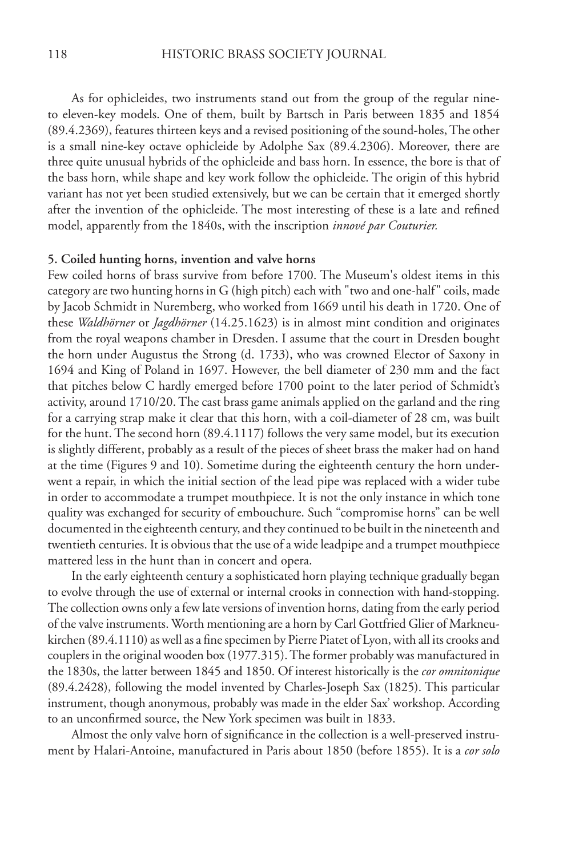As for ophicleides, two instruments stand out from the group of the regular nineto eleven-key models. One of them, built by Bartsch in Paris between 1835 and 1854 (89.4.2369), features thirteen keys and a revised positioning of the sound-holes, The other is a small nine-key octave ophicleide by Adolphe Sax (89.4.2306). Moreover, there are three quite unusual hybrids of the ophicleide and bass horn. In essence, the bore is that of the bass horn, while shape and key work follow the ophicleide. The origin of this hybrid variant has not yet been studied extensively, but we can be certain that it emerged shortly after the invention of the ophicleide. The most interesting of these is a late and refined model, apparently from the 1840s, with the inscription *innové par Couturier.*

### **5. Coiled hunting horns, invention and valve horns**

Few coiled horns of brass survive from before 1700. The Museum's oldest items in this category are two hunting horns in G (high pitch) each with "two and one-half" coils, made by Jacob Schmidt in Nuremberg, who worked from 1669 until his death in 1720. One of these *Waldhörner* or *Jagdhörner* (14.25.1623) is in almost mint condition and originates from the royal weapons chamber in Dresden. I assume that the court in Dresden bought the horn under Augustus the Strong (d. 1733), who was crowned Elector of Saxony in 1694 and King of Poland in 1697. However, the bell diameter of 230 mm and the fact that pitches below C hardly emerged before 1700 point to the later period of Schmidt's activity, around 1710/20. The cast brass game animals applied on the garland and the ring for a carrying strap make it clear that this horn, with a coil-diameter of 28 cm, was built for the hunt. The second horn (89.4.1117) follows the very same model, but its execution is slightly different, probably as a result of the pieces of sheet brass the maker had on hand at the time (Figures 9 and 10). Sometime during the eighteenth century the horn underwent a repair, in which the initial section of the lead pipe was replaced with a wider tube in order to accommodate a trumpet mouthpiece. It is not the only instance in which tone quality was exchanged for security of embouchure. Such "compromise horns" can be well documented in the eighteenth century, and they continued to be built in the nineteenth and twentieth centuries. It is obvious that the use of a wide leadpipe and a trumpet mouthpiece mattered less in the hunt than in concert and opera.

 In the early eighteenth century a sophisticated horn playing technique gradually began to evolve through the use of external or internal crooks in connection with hand-stopping. The collection owns only a few late versions of invention horns, dating from the early period of the valve instruments. Worth mentioning are a horn by Carl Gottfried Glier of Markneukirchen (89.4.1110) as well as a fine specimen by Pierre Piatet of Lyon, with all its crooks and couplers in the original wooden box (1977.315). The former probably was manufactured in the 1830s, the latter between 1845 and 1850. Of interest historically is the *cor omnitonique* (89.4.2428), following the model invented by Charles-Joseph Sax (1825). This particular instrument, though anonymous, probably was made in the elder Sax' workshop. According to an unconfirmed source, the New York specimen was built in 1833.

Almost the only valve horn of significance in the collection is a well-preserved instrument by Halari-Antoine, manufactured in Paris about 1850 (before 1855). It is a *cor solo*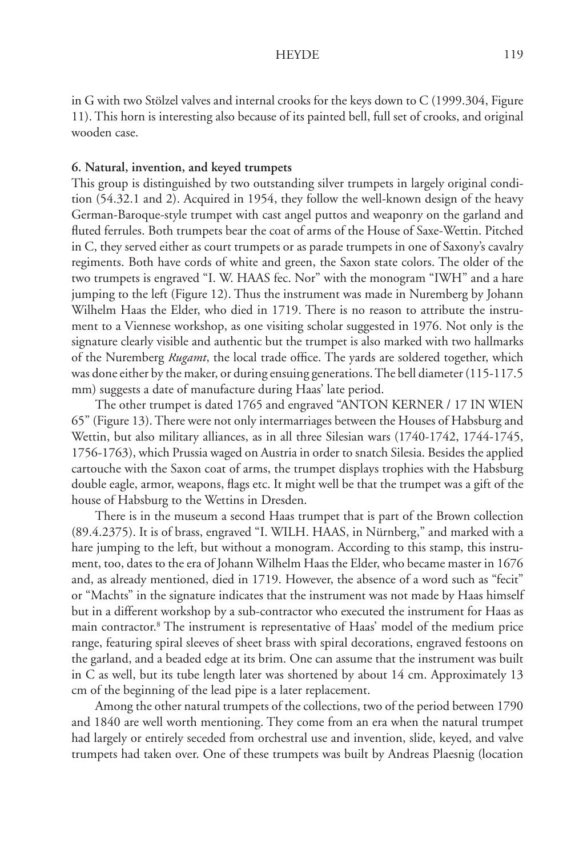in G with two Stölzel valves and internal crooks for the keys down to C (1999.304, Figure 11). This horn is interesting also because of its painted bell, full set of crooks, and original wooden case.

## **6. Natural, invention, and keyed trumpets**

This group is distinguished by two outstanding silver trumpets in largely original condition (54.32.1 and 2). Acquired in 1954, they follow the well-known design of the heavy German-Baroque-style trumpet with cast angel puttos and weaponry on the garland and fluted ferrules. Both trumpets bear the coat of arms of the House of Saxe-Wettin. Pitched in C, they served either as court trumpets or as parade trumpets in one of Saxony's cavalry regiments. Both have cords of white and green, the Saxon state colors. The older of the two trumpets is engraved "I. W. HAAS fec. Nor" with the monogram "IWH" and a hare jumping to the left (Figure 12). Thus the instrument was made in Nuremberg by Johann Wilhelm Haas the Elder, who died in 1719. There is no reason to attribute the instrument to a Viennese workshop, as one visiting scholar suggested in 1976. Not only is the signature clearly visible and authentic but the trumpet is also marked with two hallmarks of the Nuremberg *Rugamt*, the local trade office. The yards are soldered together, which was done either by the maker, or during ensuing generations. The bell diameter (115-117.5 mm) suggests a date of manufacture during Haas' late period.

 The other trumpet is dated 1765 and engraved "ANTON KERNER / 17 IN WIEN 65" (Figure 13). There were not only intermarriages between the Houses of Habsburg and Wettin, but also military alliances, as in all three Silesian wars (1740-1742, 1744-1745, 1756-1763), which Prussia waged on Austria in order to snatch Silesia. Besides the applied cartouche with the Saxon coat of arms, the trumpet displays trophies with the Habsburg double eagle, armor, weapons, flags etc. It might well be that the trumpet was a gift of the house of Habsburg to the Wettins in Dresden.

 There is in the museum a second Haas trumpet that is part of the Brown collection (89.4.2375). It is of brass, engraved "I. WILH. HAAS, in Nürnberg," and marked with a hare jumping to the left, but without a monogram. According to this stamp, this instrument, too, dates to the era of Johann Wilhelm Haas the Elder, who became master in 1676 and, as already mentioned, died in 1719. However, the absence of a word such as "fecit" or "Machts" in the signature indicates that the instrument was not made by Haas himself but in a different workshop by a sub-contractor who executed the instrument for Haas as main contractor.8 The instrument is representative of Haas' model of the medium price range, featuring spiral sleeves of sheet brass with spiral decorations, engraved festoons on the garland, and a beaded edge at its brim. One can assume that the instrument was built in C as well, but its tube length later was shortened by about 14 cm. Approximately 13 cm of the beginning of the lead pipe is a later replacement.

 Among the other natural trumpets of the collections, two of the period between 1790 and 1840 are well worth mentioning. They come from an era when the natural trumpet had largely or entirely seceded from orchestral use and invention, slide, keyed, and valve trumpets had taken over. One of these trumpets was built by Andreas Plaesnig (location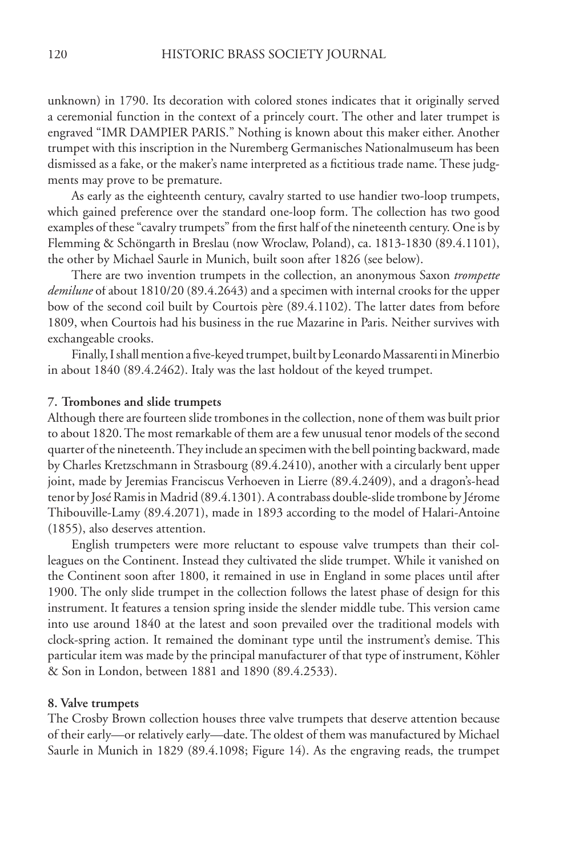unknown) in 1790. Its decoration with colored stones indicates that it originally served a ceremonial function in the context of a princely court. The other and later trumpet is engraved "IMR DAMPIER PARIS." Nothing is known about this maker either. Another trumpet with this inscription in the Nuremberg Germanisches Nationalmuseum has been dismissed as a fake, or the maker's name interpreted as a fictitious trade name. These judgments may prove to be premature.

 As early as the eighteenth century, cavalry started to use handier two-loop trumpets, which gained preference over the standard one-loop form. The collection has two good examples of these "cavalry trumpets" from the first half of the nineteenth century. One is by Flemming & Schöngarth in Breslau (now Wroclaw, Poland), ca. 1813-1830 (89.4.1101), the other by Michael Saurle in Munich, built soon after 1826 (see below).

 There are two invention trumpets in the collection, an anonymous Saxon *trompette demilune* of about 1810/20 (89.4.2643) and a specimen with internal crooks for the upper bow of the second coil built by Courtois père (89.4.1102). The latter dates from before 1809, when Courtois had his business in the rue Mazarine in Paris. Neither survives with exchangeable crooks.

Finally, I shall mention a five-keyed trumpet, built by Leonardo Massarenti in Minerbio in about 1840 (89.4.2462). Italy was the last holdout of the keyed trumpet.

### **7. Trombones and slide trumpets**

Although there are fourteen slide trombones in the collection, none of them was built prior to about 1820. The most remarkable of them are a few unusual tenor models of the second quarter of the nineteenth. They include an specimen with the bell pointing backward, made by Charles Kretzschmann in Strasbourg (89.4.2410), another with a circularly bent upper joint, made by Jeremias Franciscus Verhoeven in Lierre (89.4.2409), and a dragon's-head tenor by José Ramis in Madrid (89.4.1301). A contrabass double-slide trombone by Jérome Thibouville-Lamy (89.4.2071), made in 1893 according to the model of Halari-Antoine (1855), also deserves attention.

 English trumpeters were more reluctant to espouse valve trumpets than their colleagues on the Continent. Instead they cultivated the slide trumpet. While it vanished on the Continent soon after 1800, it remained in use in England in some places until after 1900. The only slide trumpet in the collection follows the latest phase of design for this instrument. It features a tension spring inside the slender middle tube. This version came into use around 1840 at the latest and soon prevailed over the traditional models with clock-spring action. It remained the dominant type until the instrument's demise. This particular item was made by the principal manufacturer of that type of instrument, Köhler & Son in London, between 1881 and 1890 (89.4.2533).

### **8. Valve trumpets**

The Crosby Brown collection houses three valve trumpets that deserve attention because of their early—or relatively early—date. The oldest of them was manufactured by Michael Saurle in Munich in 1829 (89.4.1098; Figure 14). As the engraving reads, the trumpet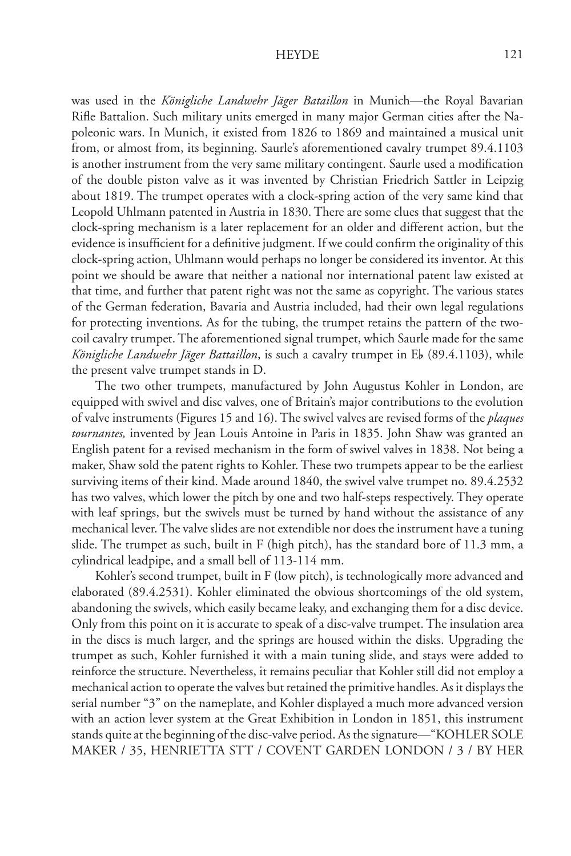was used in the *Königliche Landwehr Jäger Bataillon* in Munich—the Royal Bavarian Rifle Battalion. Such military units emerged in many major German cities after the Napoleonic wars. In Munich, it existed from 1826 to 1869 and maintained a musical unit from, or almost from, its beginning. Saurle's aforementioned cavalry trumpet 89.4.1103 is another instrument from the very same military contingent. Saurle used a modification of the double piston valve as it was invented by Christian Friedrich Sattler in Leipzig about 1819. The trumpet operates with a clock-spring action of the very same kind that Leopold Uhlmann patented in Austria in 1830. There are some clues that suggest that the clock-spring mechanism is a later replacement for an older and different action, but the evidence is insufficient for a definitive judgment. If we could confirm the originality of this clock-spring action, Uhlmann would perhaps no longer be considered its inventor. At this point we should be aware that neither a national nor international patent law existed at that time, and further that patent right was not the same as copyright. The various states of the German federation, Bavaria and Austria included, had their own legal regulations for protecting inventions. As for the tubing, the trumpet retains the pattern of the twocoil cavalry trumpet. The aforementioned signal trumpet, which Saurle made for the same Königliche Landwehr Jäger Battaillon, is such a cavalry trumpet in Eb (89.4.1103), while the present valve trumpet stands in D.

 The two other trumpets, manufactured by John Augustus Kohler in London, are equipped with swivel and disc valves, one of Britain's major contributions to the evolution of valve instruments (Figures 15 and 16). The swivel valves are revised forms of the *plaques tournantes,* invented by Jean Louis Antoine in Paris in 1835. John Shaw was granted an English patent for a revised mechanism in the form of swivel valves in 1838. Not being a maker, Shaw sold the patent rights to Kohler. These two trumpets appear to be the earliest surviving items of their kind. Made around 1840, the swivel valve trumpet no. 89.4.2532 has two valves, which lower the pitch by one and two half-steps respectively. They operate with leaf springs, but the swivels must be turned by hand without the assistance of any mechanical lever. The valve slides are not extendible nor does the instrument have a tuning slide. The trumpet as such, built in F (high pitch), has the standard bore of 11.3 mm, a cylindrical leadpipe, and a small bell of 113-114 mm.

 Kohler's second trumpet, built in F (low pitch), is technologically more advanced and elaborated (89.4.2531). Kohler eliminated the obvious shortcomings of the old system, abandoning the swivels, which easily became leaky, and exchanging them for a disc device. Only from this point on it is accurate to speak of a disc-valve trumpet. The insulation area in the discs is much larger, and the springs are housed within the disks. Upgrading the trumpet as such, Kohler furnished it with a main tuning slide, and stays were added to reinforce the structure. Nevertheless, it remains peculiar that Kohler still did not employ a mechanical action to operate the valves but retained the primitive handles. As it displays the serial number "3" on the nameplate, and Kohler displayed a much more advanced version with an action lever system at the Great Exhibition in London in 1851, this instrument stands quite at the beginning of the disc-valve period. As the signature—"KOHLER SOLE MAKER / 35, HENRIETTA STT / COVENT GARDEN LONDON / 3 / BY HER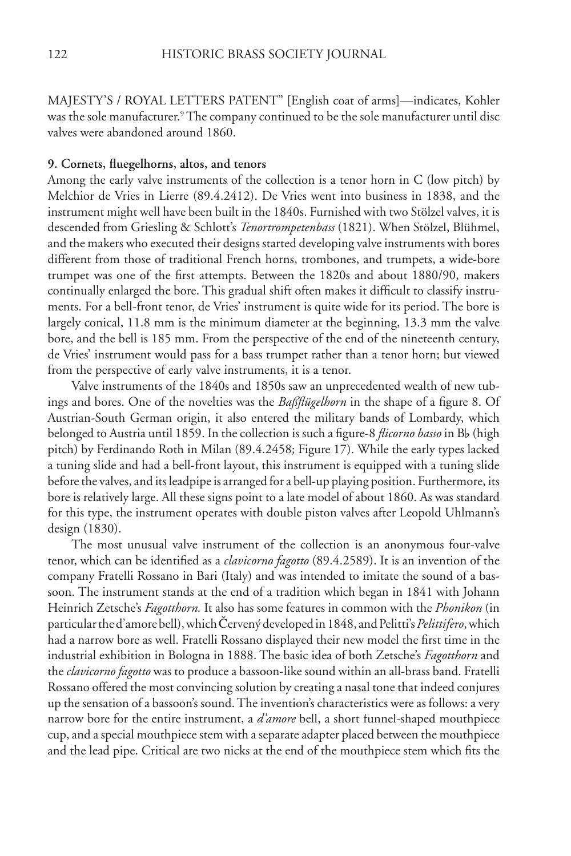MAJESTY'S / ROYAL LETTERS PATENT" [English coat of arms]—indicates, Kohler was the sole manufacturer.<sup>9</sup> The company continued to be the sole manufacturer until disc valves were abandoned around 1860.

### **9. Cornets, fl uegelhorns, altos, and tenors**

Among the early valve instruments of the collection is a tenor horn in C (low pitch) by Melchior de Vries in Lierre (89.4.2412). De Vries went into business in 1838, and the instrument might well have been built in the 1840s. Furnished with two Stölzel valves, it is descended from Griesling & Schlott's *Tenortrompetenbass* (1821). When Stölzel, Blühmel, and the makers who executed their designs started developing valve instruments with bores different from those of traditional French horns, trombones, and trumpets, a wide-bore trumpet was one of the first attempts. Between the 1820s and about 1880/90, makers continually enlarged the bore. This gradual shift often makes it difficult to classify instruments. For a bell-front tenor, de Vries' instrument is quite wide for its period. The bore is largely conical, 11.8 mm is the minimum diameter at the beginning, 13.3 mm the valve bore, and the bell is 185 mm. From the perspective of the end of the nineteenth century, de Vries' instrument would pass for a bass trumpet rather than a tenor horn; but viewed from the perspective of early valve instruments, it is a tenor.

 Valve instruments of the 1840s and 1850s saw an unprecedented wealth of new tubings and bores. One of the novelties was the *Baßflügelhorn* in the shape of a figure 8. Of Austrian-South German origin, it also entered the military bands of Lombardy, which belonged to Austria until 1859. In the collection is such a figure-8 *flicorno basso* in Bb (high pitch) by Ferdinando Roth in Milan (89.4.2458; Figure 17). While the early types lacked a tuning slide and had a bell-front layout, this instrument is equipped with a tuning slide before the valves, and its leadpipe is arranged for a bell-up playing position. Furthermore, its bore is relatively large. All these signs point to a late model of about 1860. As was standard for this type, the instrument operates with double piston valves after Leopold Uhlmann's design (1830).

 The most unusual valve instrument of the collection is an anonymous four-valve tenor, which can be identified as a *clavicorno fagotto* (89.4.2589). It is an invention of the company Fratelli Rossano in Bari (Italy) and was intended to imitate the sound of a bassoon. The instrument stands at the end of a tradition which began in 1841 with Johann Heinrich Zetsche's *Fagotthorn.* It also has some features in common with the *Phonikon* (in particular the d'amore bell), which Červený developed in 1848, and Pelitti's *Pelittifero*, which had a narrow bore as well. Fratelli Rossano displayed their new model the first time in the industrial exhibition in Bologna in 1888. The basic idea of both Zetsche's *Fagotthorn* and the *clavicorno fagotto* was to produce a bassoon-like sound within an all-brass band. Fratelli Rossano offered the most convincing solution by creating a nasal tone that indeed conjures up the sensation of a bassoon's sound. The invention's characteristics were as follows: a very narrow bore for the entire instrument, a *d'amore* bell, a short funnel-shaped mouthpiece cup, and a special mouthpiece stem with a separate adapter placed between the mouthpiece and the lead pipe. Critical are two nicks at the end of the mouthpiece stem which fits the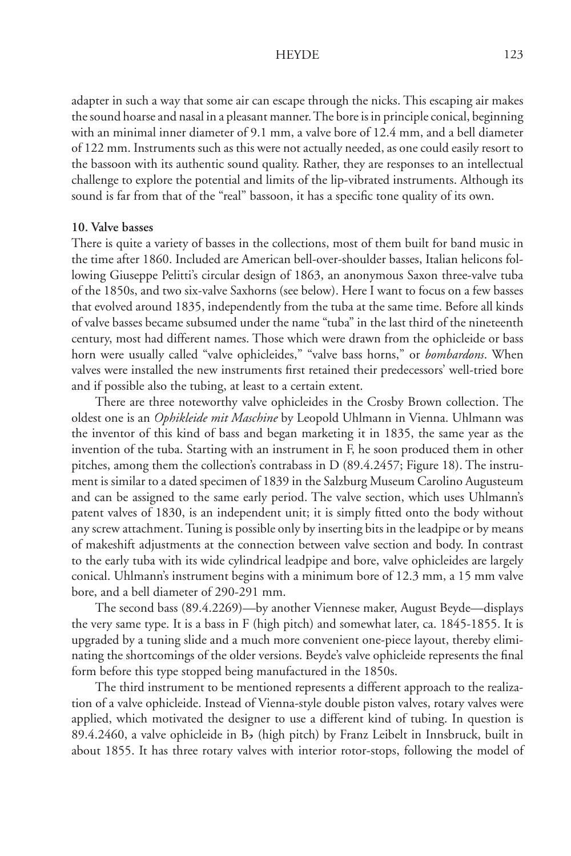adapter in such a way that some air can escape through the nicks. This escaping air makes the sound hoarse and nasal in a pleasant manner. The bore is in principle conical, beginning with an minimal inner diameter of 9.1 mm, a valve bore of 12.4 mm, and a bell diameter of 122 mm. Instruments such as this were not actually needed, as one could easily resort to the bassoon with its authentic sound quality. Rather, they are responses to an intellectual challenge to explore the potential and limits of the lip-vibrated instruments. Although its sound is far from that of the "real" bassoon, it has a specific tone quality of its own.

#### **10. Valve basses**

There is quite a variety of basses in the collections, most of them built for band music in the time after 1860. Included are American bell-over-shoulder basses, Italian helicons following Giuseppe Pelitti's circular design of 1863, an anonymous Saxon three-valve tuba of the 1850s, and two six-valve Saxhorns (see below). Here I want to focus on a few basses that evolved around 1835, independently from the tuba at the same time. Before all kinds of valve basses became subsumed under the name "tuba" in the last third of the nineteenth century, most had different names. Those which were drawn from the ophicleide or bass horn were usually called "valve ophicleides," "valve bass horns," or *bombardons*. When valves were installed the new instruments first retained their predecessors' well-tried bore and if possible also the tubing, at least to a certain extent.

 There are three noteworthy valve ophicleides in the Crosby Brown collection. The oldest one is an *Ophikleide mit Maschine* by Leopold Uhlmann in Vienna. Uhlmann was the inventor of this kind of bass and began marketing it in 1835, the same year as the invention of the tuba. Starting with an instrument in F, he soon produced them in other pitches, among them the collection's contrabass in D (89.4.2457; Figure 18). The instrument is similar to a dated specimen of 1839 in the Salzburg Museum Carolino Augusteum and can be assigned to the same early period. The valve section, which uses Uhlmann's patent valves of 1830, is an independent unit; it is simply fitted onto the body without any screw attachment. Tuning is possible only by inserting bits in the leadpipe or by means of makeshift adjustments at the connection between valve section and body. In contrast to the early tuba with its wide cylindrical leadpipe and bore, valve ophicleides are largely conical. Uhlmann's instrument begins with a minimum bore of 12.3 mm, a 15 mm valve bore, and a bell diameter of 290-291 mm.

 The second bass (89.4.2269)—by another Viennese maker, August Beyde—displays the very same type. It is a bass in F (high pitch) and somewhat later, ca. 1845-1855. It is upgraded by a tuning slide and a much more convenient one-piece layout, thereby eliminating the shortcomings of the older versions. Beyde's valve ophicleide represents the final form before this type stopped being manufactured in the 1850s.

 The third instrument to be mentioned represents a different approach to the realization of a valve ophicleide. Instead of Vienna-style double piston valves, rotary valves were applied, which motivated the designer to use a different kind of tubing. In question is 89.4.2460, a valve ophicleide in Bb (high pitch) by Franz Leibelt in Innsbruck, built in about 1855. It has three rotary valves with interior rotor-stops, following the model of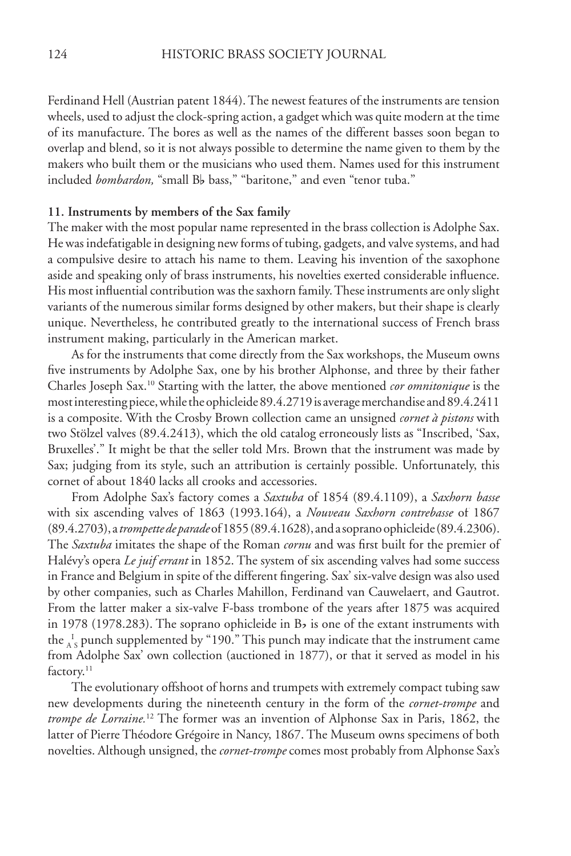Ferdinand Hell (Austrian patent 1844). The newest features of the instruments are tension wheels, used to adjust the clock-spring action, a gadget which was quite modern at the time of its manufacture. The bores as well as the names of the different basses soon began to overlap and blend, so it is not always possible to determine the name given to them by the makers who built them or the musicians who used them. Names used for this instrument included *bombardon*, "small B<sub>b</sub> bass," "baritone," and even "tenor tuba."

## **11. Instruments by members of the Sax family**

The maker with the most popular name represented in the brass collection is Adolphe Sax. He was indefatigable in designing new forms of tubing, gadgets, and valve systems, and had a compulsive desire to attach his name to them. Leaving his invention of the saxophone aside and speaking only of brass instruments, his novelties exerted considerable influence. His most influential contribution was the saxhorn family. These instruments are only slight variants of the numerous similar forms designed by other makers, but their shape is clearly unique. Nevertheless, he contributed greatly to the international success of French brass instrument making, particularly in the American market.

 As for the instruments that come directly from the Sax workshops, the Museum owns five instruments by Adolphe Sax, one by his brother Alphonse, and three by their father Charles Joseph Sax.10 Starting with the latter, the above mentioned *cor omnitonique* is the most interesting piece, while the ophicleide 89.4.2719 is average merchandise and 89.4.2411 is a composite. With the Crosby Brown collection came an unsigned *cornet à pistons* with two Stölzel valves (89.4.2413), which the old catalog erroneously lists as "Inscribed, 'Sax, Bruxelles'." It might be that the seller told Mrs. Brown that the instrument was made by Sax; judging from its style, such an attribution is certainly possible. Unfortunately, this cornet of about 1840 lacks all crooks and accessories.

 From Adolphe Sax's factory comes a *Saxtuba* of 1854 (89.4.1109), a *Saxhorn basse* with six ascending valves of 1863 (1993.164), a *Nouveau Saxhorn contrebasse* of 1867 (89.4.2703), a *trompette de parade* of 1855 (89.4.1628), and a soprano ophicleide (89.4.2306). The *Saxtuba* imitates the shape of the Roman *cornu* and was first built for the premier of Halévy's opera *Le juif errant* in 1852. The system of six ascending valves had some success in France and Belgium in spite of the different fingering. Sax' six-valve design was also used by other companies, such as Charles Mahillon, Ferdinand van Cauwelaert, and Gautrot. From the latter maker a six-valve F-bass trombone of the years after 1875 was acquired in 1978 (1978.283). The soprano ophicleide in  $B<sub>b</sub>$  is one of the extant instruments with the  $\frac{1}{A}$ <sub>S</sub> punch supplemented by "190." This punch may indicate that the instrument came from Adolphe Sax' own collection (auctioned in 1877), or that it served as model in his factory.<sup>11</sup>

 The evolutionary offshoot of horns and trumpets with extremely compact tubing saw new developments during the nineteenth century in the form of the *cornet-trompe* and *trompe de Lorraine.*12 The former was an invention of Alphonse Sax in Paris, 1862, the latter of Pierre Théodore Grégoire in Nancy, 1867. The Museum owns specimens of both novelties. Although unsigned, the *cornet-trompe* comes most probably from Alphonse Sax's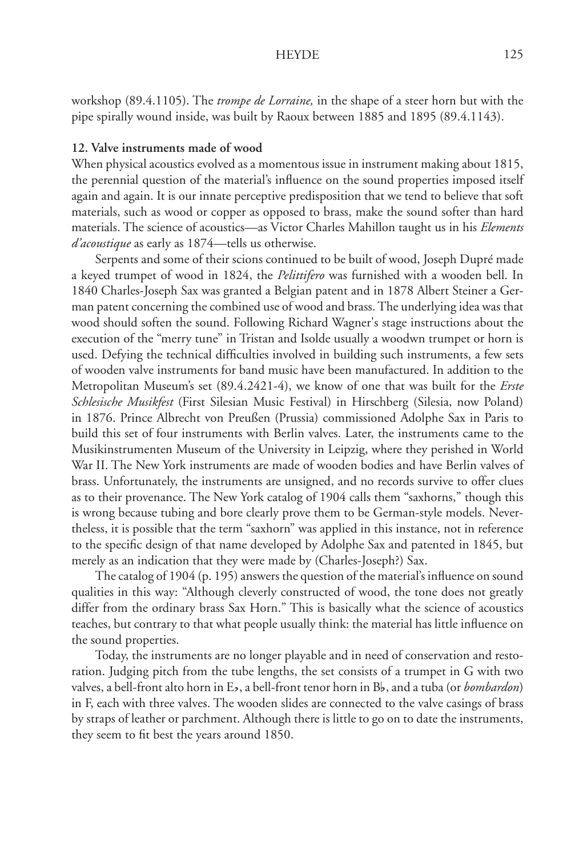workshop (89.4.1105). The *trompe de Lorraine,* in the shape of a steer horn but with the pipe spirally wound inside, was built by Raoux between 1885 and 1895 (89.4.1143).

## **12. Valve instruments made of wood**

When physical acoustics evolved as a momentous issue in instrument making about 1815, the perennial question of the material's influence on the sound properties imposed itself again and again. It is our innate perceptive predisposition that we tend to believe that soft materials, such as wood or copper as opposed to brass, make the sound softer than hard materials. The science of acoustics—as Victor Charles Mahillon taught us in his *Elements d'acoustique* as early as 1874—tells us otherwise.

 Serpents and some of their scions continued to be built of wood, Joseph Dupré made a keyed trumpet of wood in 1824, the *Pelittifero* was furnished with a wooden bell. In 1840 Charles-Joseph Sax was granted a Belgian patent and in 1878 Albert Steiner a German patent concerning the combined use of wood and brass. The underlying idea was that wood should soften the sound. Following Richard Wagner's stage instructions about the execution of the "merry tune" in Tristan and Isolde usually a woodwn trumpet or horn is used. Defying the technical difficulties involved in building such instruments, a few sets of wooden valve instruments for band music have been manufactured. In addition to the Metropolitan Museum's set (89.4.2421-4), we know of one that was built for the *Erste Schlesische Musikfest* (First Silesian Music Festival) in Hirschberg (Silesia, now Poland) in 1876. Prince Albrecht von Preußen (Prussia) commissioned Adolphe Sax in Paris to build this set of four instruments with Berlin valves. Later, the instruments came to the Musikinstrumenten Museum of the University in Leipzig, where they perished in World War II. The New York instruments are made of wooden bodies and have Berlin valves of brass. Unfortunately, the instruments are unsigned, and no records survive to offer clues as to their provenance. The New York catalog of 1904 calls them "saxhorns," though this is wrong because tubing and bore clearly prove them to be German-style models. Nevertheless, it is possible that the term "saxhorn" was applied in this instance, not in reference to the specific design of that name developed by Adolphe Sax and patented in 1845, but merely as an indication that they were made by (Charles-Joseph?) Sax.

The catalog of 1904 (p. 195) answers the question of the material's influence on sound qualities in this way: "Although cleverly constructed of wood, the tone does not greatly differ from the ordinary brass Sax Horn." This is basically what the science of acoustics teaches, but contrary to that what people usually think: the material has little influence on the sound properties.

 Today, the instruments are no longer playable and in need of conservation and restoration. Judging pitch from the tube lengths, the set consists of a trumpet in G with two valves, a bell-front alto horn in Ef, a bell-front tenor horn in Bf, and a tuba (or *bombardon*) in F, each with three valves. The wooden slides are connected to the valve casings of brass by straps of leather or parchment. Although there is little to go on to date the instruments, they seem to fit best the years around 1850.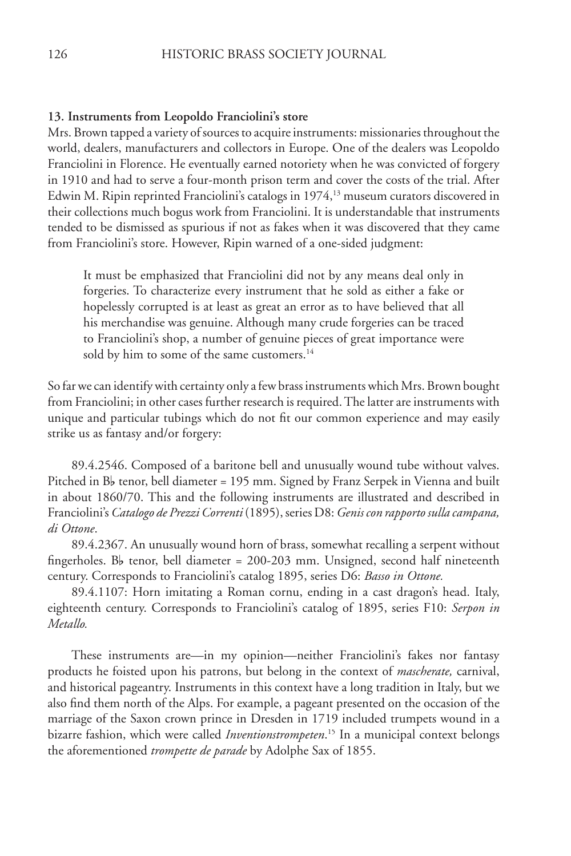#### **13. Instruments from Leopoldo Franciolini's store**

Mrs. Brown tapped a variety of sources to acquire instruments: missionaries throughout the world, dealers, manufacturers and collectors in Europe. One of the dealers was Leopoldo Franciolini in Florence. He eventually earned notoriety when he was convicted of forgery in 1910 and had to serve a four-month prison term and cover the costs of the trial. After Edwin M. Ripin reprinted Franciolini's catalogs in 1974,<sup>13</sup> museum curators discovered in their collections much bogus work from Franciolini. It is understandable that instruments tended to be dismissed as spurious if not as fakes when it was discovered that they came from Franciolini's store. However, Ripin warned of a one-sided judgment:

It must be emphasized that Franciolini did not by any means deal only in forgeries. To characterize every instrument that he sold as either a fake or hopelessly corrupted is at least as great an error as to have believed that all his merchandise was genuine. Although many crude forgeries can be traced to Franciolini's shop, a number of genuine pieces of great importance were sold by him to some of the same customers.<sup>14</sup>

So far we can identify with certainty only a few brass instruments which Mrs. Brown bought from Franciolini; in other cases further research is required. The latter are instruments with unique and particular tubings which do not fit our common experience and may easily strike us as fantasy and/or forgery:

 89.4.2546. Composed of a baritone bell and unusually wound tube without valves. Pitched in  $B_b$  tenor, bell diameter = 195 mm. Signed by Franz Serpek in Vienna and built in about 1860/70. This and the following instruments are illustrated and described in Franciolini's *Catalogo de Prezzi Correnti* (1895), series D8: *Genis con rapporto sulla campana, di Ottone*.

 89.4.2367. An unusually wound horn of brass, somewhat recalling a serpent without fingerholes. B<sub>b</sub> tenor, bell diameter = 200-203 mm. Unsigned, second half nineteenth century. Corresponds to Franciolini's catalog 1895, series D6: *Basso in Ottone.*

 89.4.1107: Horn imitating a Roman cornu, ending in a cast dragon's head. Italy, eighteenth century. Corresponds to Franciolini's catalog of 1895, series F10: *Serpon in Metallo.*

 These instruments are—in my opinion—neither Franciolini's fakes nor fantasy products he foisted upon his patrons, but belong in the context of *mascherate,* carnival, and historical pageantry. Instruments in this context have a long tradition in Italy, but we also find them north of the Alps. For example, a pageant presented on the occasion of the marriage of the Saxon crown prince in Dresden in 1719 included trumpets wound in a bizarre fashion, which were called *Inventionstrompeten*. 15 In a municipal context belongs the aforementioned *trompette de parade* by Adolphe Sax of 1855.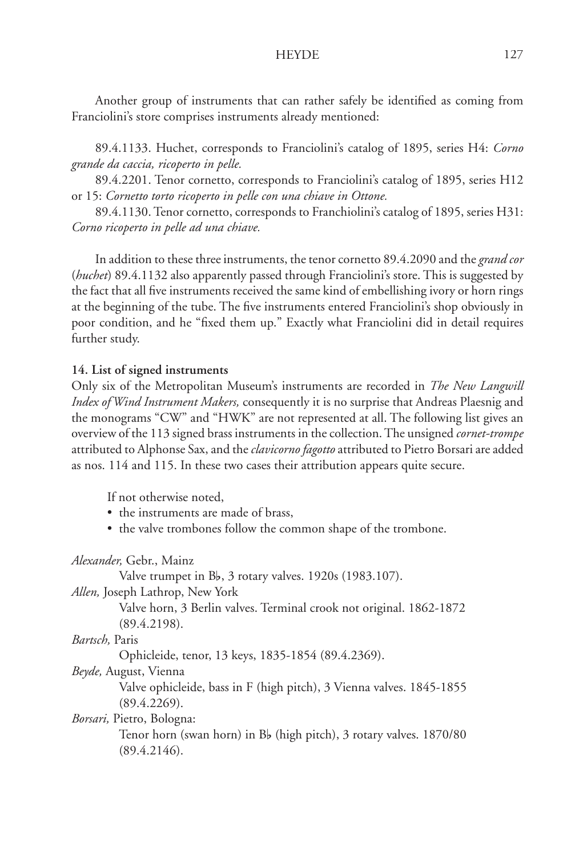Another group of instruments that can rather safely be identified as coming from Franciolini's store comprises instruments already mentioned:

 89.4.1133. Huchet, corresponds to Franciolini's catalog of 1895, series H4: *Corno grande da caccia, ricoperto in pelle.* 

 89.4.2201. Tenor cornetto, corresponds to Franciolini's catalog of 1895, series H12 or 15: *Cornetto torto ricoperto in pelle con una chiave in Ottone.*

 89.4.1130. Tenor cornetto, corresponds to Franchiolini's catalog of 1895, series H31: *Corno ricoperto in pelle ad una chiave.*

 In addition to these three instruments, the tenor cornetto 89.4.2090 and the *grand cor*  (*huchet*) 89.4.1132 also apparently passed through Franciolini's store. This is suggested by the fact that all five instruments received the same kind of embellishing ivory or horn rings at the beginning of the tube. The five instruments entered Franciolini's shop obviously in poor condition, and he "fixed them up." Exactly what Franciolini did in detail requires further study.

## **14. List of signed instruments**

Only six of the Metropolitan Museum's instruments are recorded in *The New Langwill Index of Wind Instrument Makers,* consequently it is no surprise that Andreas Plaesnig and the monograms "CW" and "HWK" are not represented at all. The following list gives an overview of the 113 signed brass instruments in the collection. The unsigned *cornet-trompe* attributed to Alphonse Sax, and the *clavicorno fagotto* attributed to Pietro Borsari are added as nos. 114 and 115. In these two cases their attribution appears quite secure.

If not otherwise noted,

- the instruments are made of brass,
- the valve trombones follow the common shape of the trombone.

## *Alexander,* Gebr., Mainz

Valve trumpet in B<sub>b</sub>, 3 rotary valves. 1920s (1983.107).

*Allen,* Joseph Lathrop, New York

Valve horn, 3 Berlin valves. Terminal crook not original. 1862-1872 (89.4.2198).

## *Bartsch,* Paris

Ophicleide, tenor, 13 keys, 1835-1854 (89.4.2369).

*Beyde,* August, Vienna

Valve ophicleide, bass in F (high pitch), 3 Vienna valves. 1845-1855 (89.4.2269).

## *Borsari,* Pietro, Bologna:

Tenor horn (swan horn) in B $\flat$  (high pitch), 3 rotary valves. 1870/80 (89.4.2146).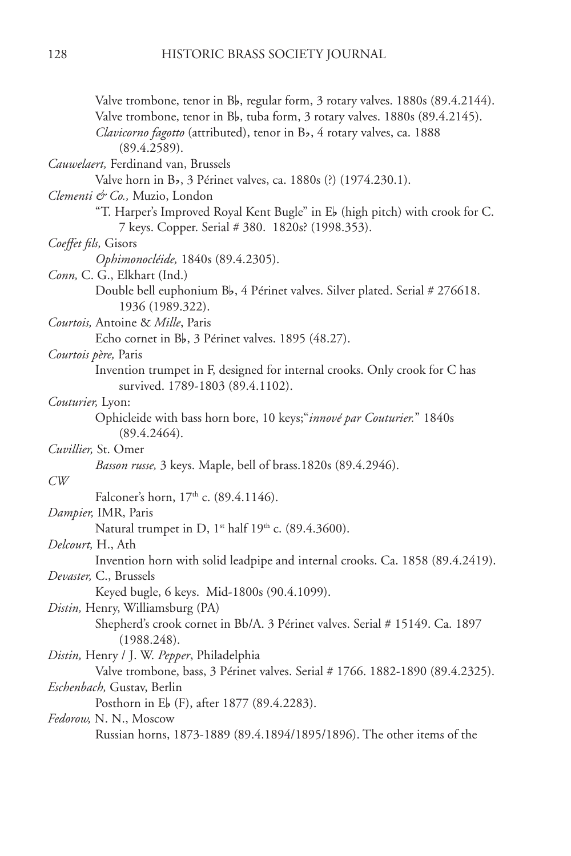| Valve trombone, tenor in Bb, regular form, 3 rotary valves. 1880s (89.4.2144).                                                   |
|----------------------------------------------------------------------------------------------------------------------------------|
| Valve trombone, tenor in Bb, tuba form, 3 rotary valves. 1880s (89.4.2145).                                                      |
| Clavicorno fagotto (attributed), tenor in Bb, 4 rotary valves, ca. 1888                                                          |
| (89.4.2589).                                                                                                                     |
| Cauwelaert, Ferdinand van, Brussels                                                                                              |
| Valve horn in Bb, 3 Périnet valves, ca. 1880s (?) (1974.230.1).                                                                  |
| Clementi & Co., Muzio, London                                                                                                    |
| "T. Harper's Improved Royal Kent Bugle" in Eb (high pitch) with crook for C.<br>7 keys. Copper. Serial # 380. 1820s? (1998.353). |
| Coeffet fils, Gisors                                                                                                             |
| Ophimonocléide, 1840s (89.4.2305).                                                                                               |
| Conn, C. G., Elkhart (Ind.)                                                                                                      |
| Double bell euphonium Bb, 4 Périnet valves. Silver plated. Serial # 276618.<br>1936 (1989.322).                                  |
| Courtois, Antoine & Mille, Paris                                                                                                 |
| Echo cornet in B <sub>b</sub> , 3 Périnet valves. 1895 (48.27).                                                                  |
| Courtois père, Paris                                                                                                             |
| Invention trumpet in F, designed for internal crooks. Only crook for C has<br>survived. 1789-1803 (89.4.1102).                   |
| Couturier, Lyon:                                                                                                                 |
| Ophicleide with bass horn bore, 10 keys;"innové par Couturier." 1840s<br>(89.4.2464).                                            |
| Cuvillier, St. Omer                                                                                                              |
| Basson russe, 3 keys. Maple, bell of brass.1820s (89.4.2946).                                                                    |
| CW                                                                                                                               |
| Falconer's horn, 17th c. (89.4.1146).                                                                                            |
| Dampier, IMR, Paris                                                                                                              |
| Natural trumpet in D, 1 <sup>st</sup> half 19 <sup>th</sup> c. (89.4.3600).                                                      |
| Delcourt, H., Ath                                                                                                                |
| Invention horn with solid leadpipe and internal crooks. Ca. 1858 (89.4.2419).                                                    |
| Devaster, C., Brussels                                                                                                           |
| Keyed bugle, 6 keys. Mid-1800s (90.4.1099).                                                                                      |
| Distin, Henry, Williamsburg (PA)                                                                                                 |
| Shepherd's crook cornet in Bb/A. 3 Périnet valves. Serial # 15149. Ca. 1897<br>(1988.248).                                       |
| Distin, Henry / J. W. Pepper, Philadelphia                                                                                       |
| Valve trombone, bass, 3 Périnet valves. Serial # 1766. 1882-1890 (89.4.2325).                                                    |
| Eschenbach, Gustav, Berlin                                                                                                       |
| Posthorn in Eb (F), after 1877 (89.4.2283).                                                                                      |
| Fedorow, N. N., Moscow                                                                                                           |
| Russian horns, 1873-1889 (89.4.1894/1895/1896). The other items of the                                                           |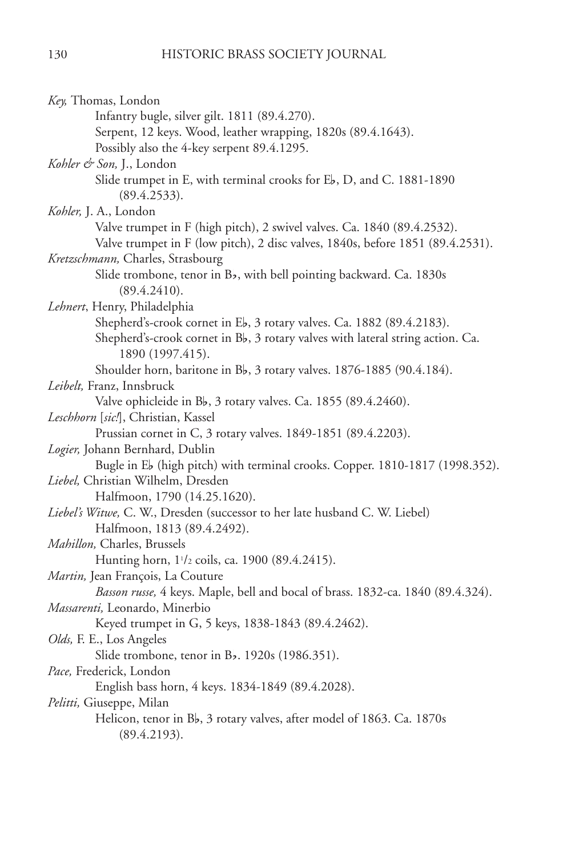| Key, Thomas, London                                                             |
|---------------------------------------------------------------------------------|
| Infantry bugle, silver gilt. 1811 (89.4.270).                                   |
| Serpent, 12 keys. Wood, leather wrapping, 1820s (89.4.1643).                    |
| Possibly also the 4-key serpent 89.4.1295.                                      |
| Kohler & Son, J., London                                                        |
| Slide trumpet in E, with terminal crooks for Eb, D, and C. 1881-1890            |
| (89.4.2533).                                                                    |
| Kohler, J. A., London                                                           |
| Valve trumpet in F (high pitch), 2 swivel valves. Ca. 1840 (89.4.2532).         |
| Valve trumpet in F (low pitch), 2 disc valves, 1840s, before 1851 (89.4.2531).  |
| Kretzschmann, Charles, Strasbourg                                               |
| Slide trombone, tenor in Bb, with bell pointing backward. Ca. 1830s             |
| (89.4.2410).                                                                    |
| Lehnert, Henry, Philadelphia                                                    |
| Shepherd's-crook cornet in Eb, 3 rotary valves. Ca. 1882 (89.4.2183).           |
| Shepherd's-crook cornet in Bb, 3 rotary valves with lateral string action. Ca.  |
| 1890 (1997.415).                                                                |
| Shoulder horn, baritone in Bb, 3 rotary valves. 1876-1885 (90.4.184).           |
| Leibelt, Franz, Innsbruck                                                       |
| Valve ophicleide in Bb, 3 rotary valves. Ca. 1855 (89.4.2460).                  |
| Leschhorn [sic!], Christian, Kassel                                             |
| Prussian cornet in C, 3 rotary valves. 1849-1851 (89.4.2203).                   |
| Logier, Johann Bernhard, Dublin                                                 |
| Bugle in Eb (high pitch) with terminal crooks. Copper. 1810-1817 (1998.352).    |
| Liebel, Christian Wilhelm, Dresden                                              |
| Halfmoon, 1790 (14.25.1620).                                                    |
| Liebel's Witwe, C. W., Dresden (successor to her late husband C. W. Liebel)     |
| Halfmoon, 1813 (89.4.2492).                                                     |
| Mahillon, Charles, Brussels                                                     |
| Hunting horn, 1 <sup>1</sup> /2 coils, ca. 1900 (89.4.2415).                    |
| Martin, Jean François, La Couture                                               |
| Basson russe, 4 keys. Maple, bell and bocal of brass. 1832-ca. 1840 (89.4.324). |
| Massarenti, Leonardo, Minerbio                                                  |
| Keyed trumpet in G, 5 keys, 1838-1843 (89.4.2462).                              |
| Olds, F. E., Los Angeles                                                        |
| Slide trombone, tenor in Bb. 1920s (1986.351).                                  |
| Pace, Frederick, London                                                         |
| English bass horn, 4 keys. 1834-1849 (89.4.2028).                               |
| Pelitti, Giuseppe, Milan                                                        |
| Helicon, tenor in Bb, 3 rotary valves, after model of 1863. Ca. 1870s           |
| (89.4.2193).                                                                    |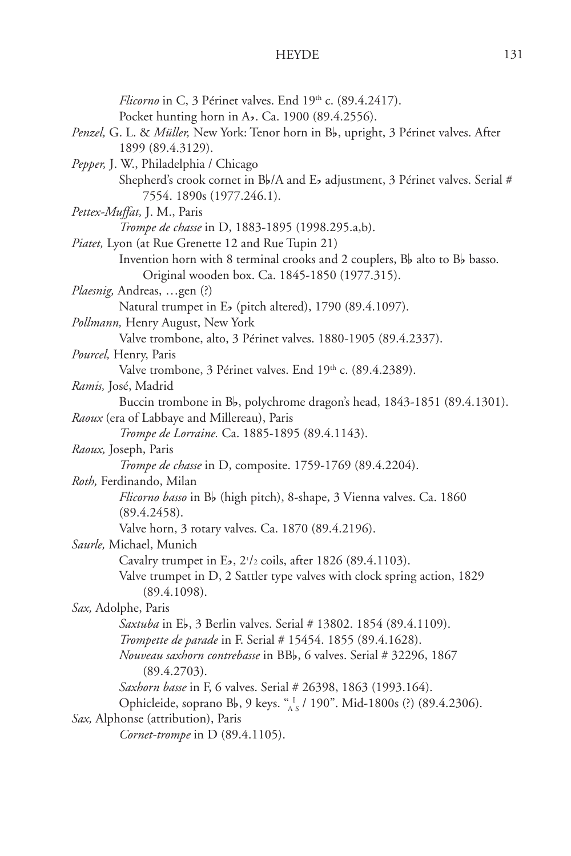| Flicorno in C, 3 Périnet valves. End 19th c. (89.4.2417).                                |
|------------------------------------------------------------------------------------------|
| Pocket hunting horn in Ab. Ca. 1900 (89.4.2556).                                         |
| Penzel, G. L. & Müller, New York: Tenor horn in Bb, upright, 3 Périnet valves. After     |
| 1899 (89.4.3129).                                                                        |
| Pepper, J. W., Philadelphia / Chicago                                                    |
| Shepherd's crook cornet in Bb/A and Eb adjustment, 3 Périnet valves. Serial #            |
| 7554. 1890s (1977.246.1).                                                                |
| Pettex-Muffat, J. M., Paris                                                              |
| Trompe de chasse in D, 1883-1895 (1998.295.a,b).                                         |
| Piatet, Lyon (at Rue Grenette 12 and Rue Tupin 21)                                       |
| Invention horn with 8 terminal crooks and 2 couplers, Bb alto to Bb basso.               |
| Original wooden box. Ca. 1845-1850 (1977.315).                                           |
| Plaesnig, Andreas, gen (?)                                                               |
| Natural trumpet in Eb (pitch altered), 1790 (89.4.1097).                                 |
| Pollmann, Henry August, New York                                                         |
| Valve trombone, alto, 3 Périnet valves. 1880-1905 (89.4.2337).                           |
| Pourcel, Henry, Paris                                                                    |
| Valve trombone, 3 Périnet valves. End 19th c. (89.4.2389).                               |
| Ramis, José, Madrid                                                                      |
| Buccin trombone in Bb, polychrome dragon's head, 1843-1851 (89.4.1301).                  |
| Raoux (era of Labbaye and Millereau), Paris                                              |
| Trompe de Lorraine. Ca. 1885-1895 (89.4.1143).                                           |
| Raoux, Joseph, Paris                                                                     |
| Trompe de chasse in D, composite. 1759-1769 (89.4.2204).                                 |
| Roth, Ferdinando, Milan                                                                  |
| Flicorno basso in Bb (high pitch), 8-shape, 3 Vienna valves. Ca. 1860                    |
| (89.4.2458).                                                                             |
| Valve horn, 3 rotary valves. Ca. 1870 (89.4.2196).                                       |
| Saurle, Michael, Munich                                                                  |
| Cavalry trumpet in Eb, 21/2 coils, after 1826 (89.4.1103).                               |
| Valve trumpet in D, 2 Sattler type valves with clock spring action, 1829<br>(89.4.1098). |
| Sax, Adolphe, Paris                                                                      |
| Saxtuba in Eb, 3 Berlin valves. Serial # 13802. 1854 (89.4.1109).                        |
| Trompette de parade in F. Serial # 15454. 1855 (89.4.1628).                              |
| Nouveau saxhorn contrebasse in BBb, 6 valves. Serial # 32296, 1867<br>(89.4.2703).       |
| Saxhorn bassel in F, 6 valves. Serial # 26398, 1863 (1993.164).                          |
| Ophicleide, soprano Bb, 9 keys. "1/190". Mid-1800s (?) (89.4.2306).                      |
| Sax, Alphonse (attribution), Paris                                                       |
| Cornet-trompe in D (89.4.1105).                                                          |
|                                                                                          |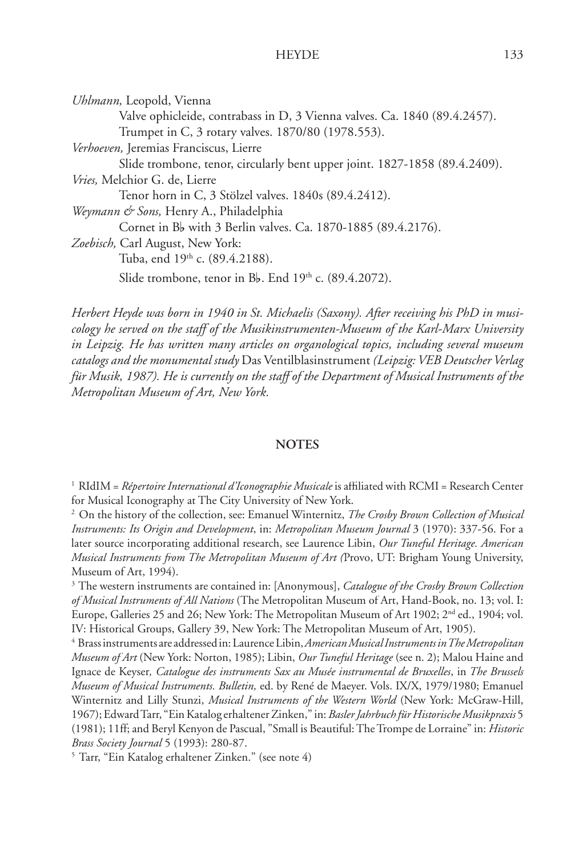*Uhlmann,* Leopold, Vienna Valve ophicleide, contrabass in D, 3 Vienna valves. Ca. 1840 (89.4.2457). Trumpet in C, 3 rotary valves. 1870/80 (1978.553). *Verhoeven,* Jeremias Franciscus, Lierre Slide trombone, tenor, circularly bent upper joint. 1827-1858 (89.4.2409). *Vries,* Melchior G. de, Lierre Tenor horn in C, 3 Stölzel valves. 1840s (89.4.2412). *Weymann & Sons,* Henry A., Philadelphia Cornet in B<sub>p</sub> with 3 Berlin valves. Ca. 1870-1885 (89.4.2176). *Zoebisch,* Carl August, New York: Tuba, end 19<sup>th</sup> c. (89.4.2188). Slide trombone, tenor in Bb. End  $19<sup>th</sup>$  c. (89.4.2072).

*Herbert Heyde was born in 1940 in St. Michaelis (Saxony). After receiving his PhD in musicology he served on the staff of the Musikinstrumenten-Museum of the Karl-Marx University in Leipzig. He has written many articles on organological topics, including several museum catalogs and the monumental study* Das Ventilblasinstrument *(Leipzig: VEB Deutscher Verlag für Musik, 1987). He is currently on the staff of the Department of Musical Instruments of the Metropolitan Museum of Art, New York.*

#### **NOTES**

<sup>1</sup> RIdIM = *Répertoire International d'Iconographie Musicale* is affiliated with RCMI = Research Center for Musical Iconography at The City University of New York.

2 On the history of the collection, see: Emanuel Winternitz, *The Crosby Brown Collection of Musical Instruments: Its Origin and Development*, in: *Metropolitan Museum Journal* 3 (1970): 337-56. For a later source incorporating additional research, see Laurence Libin, *Our Tuneful Heritage. American Musical Instruments from The Metropolitan Museum of Art (* Provo, UT: Brigham Young University, Museum of Art, 1994).

3 The western instruments are contained in: [Anonymous], *Catalogue of the Crosby Brown Collection*  of Musical Instruments of All Nations<sup>(The Metropolitan Museum of Art, Hand-Book, no. 13; vol. I:</sup> Europe, Galleries 25 and 26; New York: The Metropolitan Museum of Art 1902; 2<sup>nd</sup> ed., 1904; vol. IV: Historical Groups, Gallery 39, New York: The Metropolitan Museum of Art, 1905).

4 Brass instruments are addressed in: Laurence Libin, *American Musical Instruments in The Metropolitan Museum of Art* (New York: Norton, 1985); Libin, *Our Tuneful Heritage* (see n. 2); Malou Haine and Ignace de Keyser*, Catalogue des instruments Sax au Musée instrumental de Bruxelles*, in *The Brussels Museum of Musical Instruments. Bulletin,* ed. by René de Maeyer. Vols. IX/X, 1979/1980; Emanuel Winternitz and Lilly Stunzi, *Musical Instruments of the Western World* (New York: McGraw-Hill, 1967); Edward Tarr, "Ein Katalog erhaltener Zinken," in: *Basler Jahrbuch für Historische Musikpraxis* 5 (1981); 11ff; and Beryl Kenyon de Pascual, "Small is Beautiful: The Trompe de Lorraine" in: *Historic Brass Society Journal* 5 (1993): 280-87.

5 Tarr, "Ein Katalog erhaltener Zinken." (see note 4)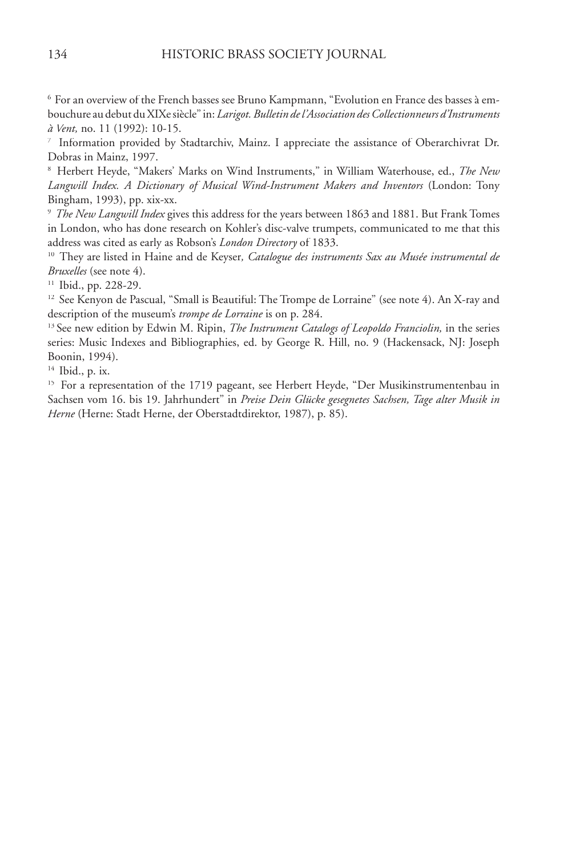6 For an overview of the French basses see Bruno Kampmann, "Evolution en France des basses à embouchure au debut du XIXe siècle" in: *Larigot. Bulletin de l'Association des Collectionneurs d'Instruments à Vent,* no. 11 (1992): 10-15.

7 Information provided by Stadtarchiv, Mainz. I appreciate the assistance of Oberarchivrat Dr. Dobras in Mainz, 1997.

8 Herbert Heyde, "Makers' Marks on Wind Instruments," in William Waterhouse, ed., *The New Langwill Index. A Dictionary of Musical Wind-Instrument Makers and Inventors* (London: Tony Bingham, 1993), pp. xix-xx.

<sup>9</sup> The New Langwill Index gives this address for the years between 1863 and 1881. But Frank Tomes in London, who has done research on Kohler's disc-valve trumpets, communicated to me that this

address was cited as early as Robson's *London Directory* of 1833. 10 They are listed in Haine and de Keyser*, Catalogue des instruments Sax au Musée instrumental de Bruxelles* (see note 4).

11 Ibid., pp. 228-29.

<sup>12</sup> See Kenyon de Pascual, "Small is Beautiful: The Trompe de Lorraine" (see note 4). An X-ray and description of the museum's *trompe de Lorraine* is on p. 284.

<sup>13</sup> See new edition by Edwin M. Ripin, *The Instrument Catalogs of Leopoldo Franciolin*, in the series series: Music Indexes and Bibliographies, ed. by George R. Hill, no. 9 (Hackensack, NJ: Joseph Boonin, 1994).

14 Ibid., p. ix.

<sup>15</sup> For a representation of the 1719 pageant, see Herbert Heyde, "Der Musikinstrumentenbau in Sachsen vom 16. bis 19. Jahrhundert" in *Preise Dein Glücke gesegnetes Sachsen, Tage alter Musik in*  Herne<sup>(Herne: Stadt Herne, der Oberstadtdirektor, 1987), p. 85).</sup>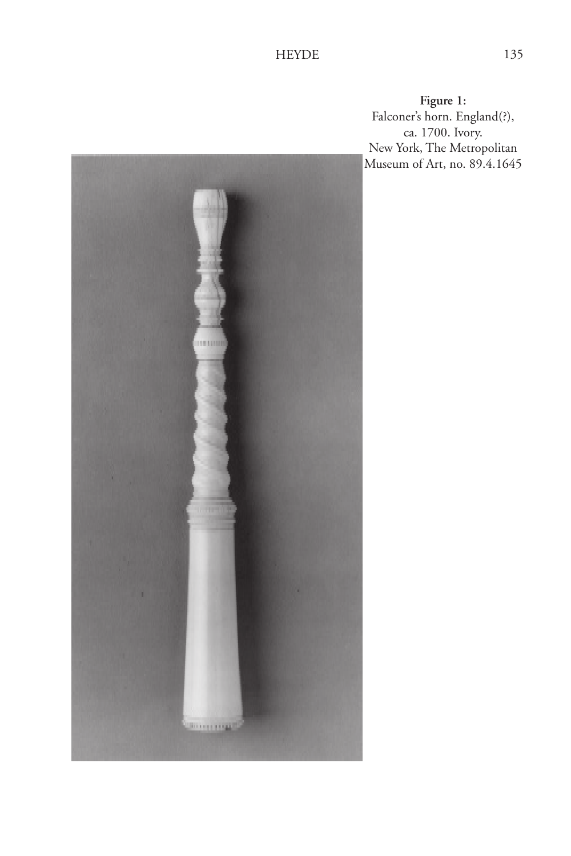**Figure 1:** Falconer's horn. England(?), ca. 1700. Ivory. New York, The Metropolitan Museum of Art, no. 89.4.1645

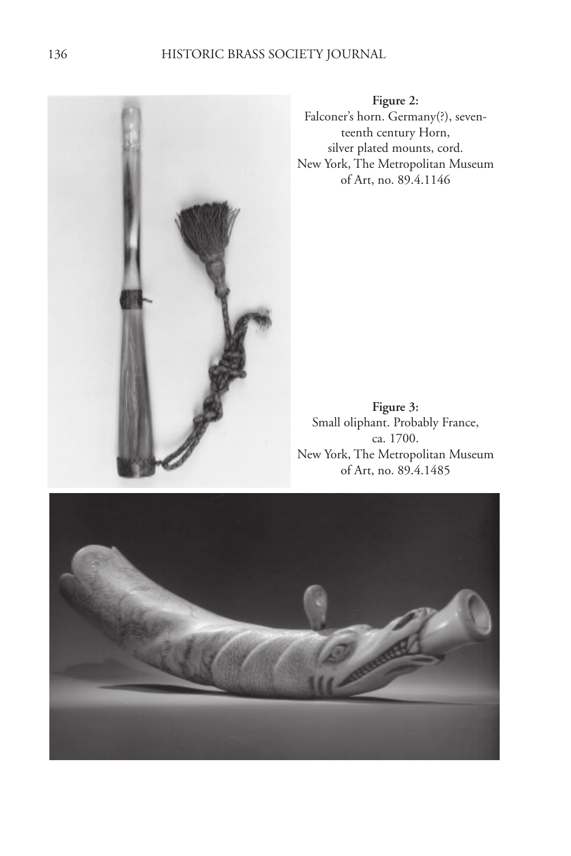

**Figure 2:** Falconer's horn. Germany(?), seventeenth century Horn, silver plated mounts, cord. New York, The Metropolitan Museum of Art, no. 89.4.1146

**Figure 3:** Small oliphant. Probably France, ca. 1700. New York, The Metropolitan Museum of Art, no. 89.4.1485

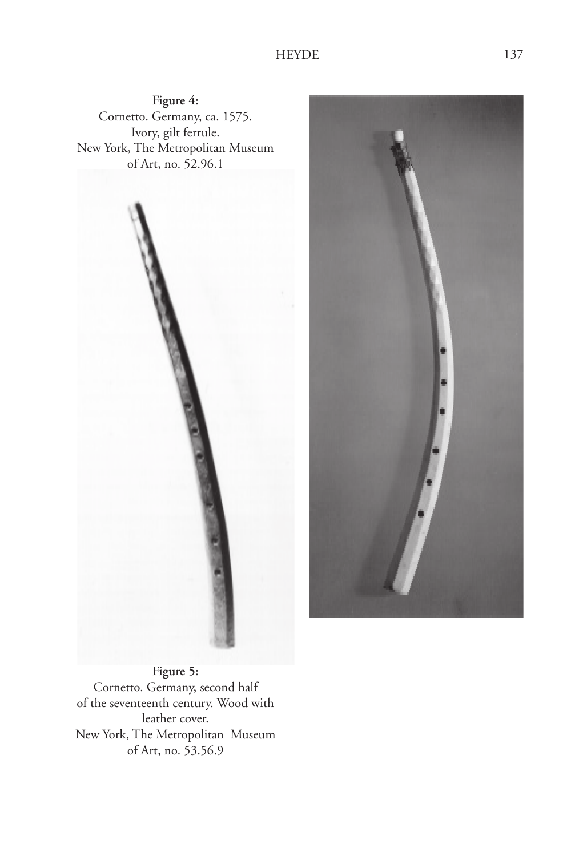



**Figure 5:** Cornetto. Germany, second half of the seventeenth century. Wood with leather cover. New York, The Metropolitan Museum of Art, no. 53.56.9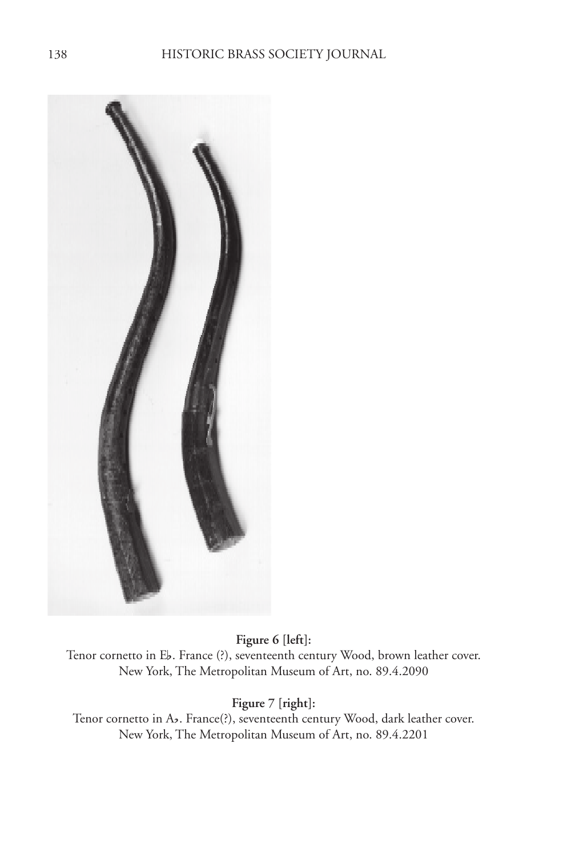

**Figure 6 [left]:** Tenor cornetto in Eb. France (?), seventeenth century Wood, brown leather cover. New York, The Metropolitan Museum of Art, no. 89.4.2090

**Figure 7 [right]:**

Tenor cornetto in Ab. France(?), seventeenth century Wood, dark leather cover. New York, The Metropolitan Museum of Art, no. 89.4.2201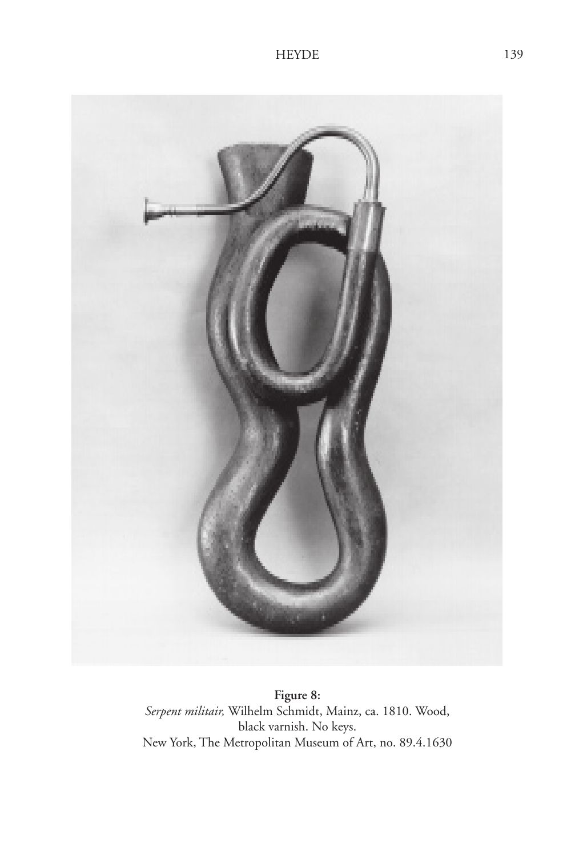

**Figure 8:** *Serpent militair,* Wilhelm Schmidt, Mainz, ca. 1810. Wood, black varnish. No keys. New York, The Metropolitan Museum of Art, no. 89.4.1630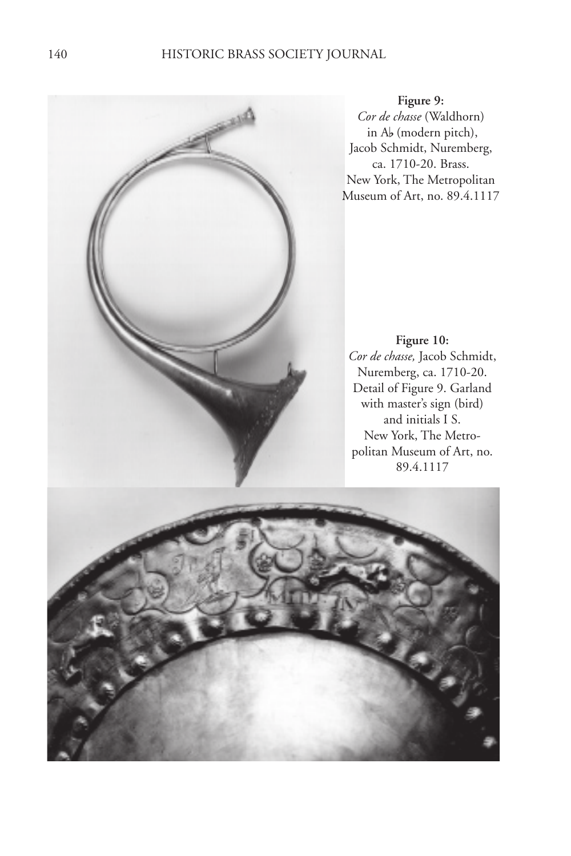## 140 HISTORIC BRASS SOCIETY JOURNAL



**Figure 9:** *Cor de chasse* (Waldhorn) (Waldhorn) in Ab (modern pitch), Jacob Schmidt, Nuremberg, ca. 1710-20. Brass. New York, The Metropolitan Museum of Art, no. 89.4.1117

**Figure 10:** *Cor de chasse,* Jacob Schmidt, Nuremberg, ca. 1710-20. Detail of Figure 9. Garland with master's sign (bird) and initials I S. New York, The Metropolitan Museum of Art, no. 89.4.1117

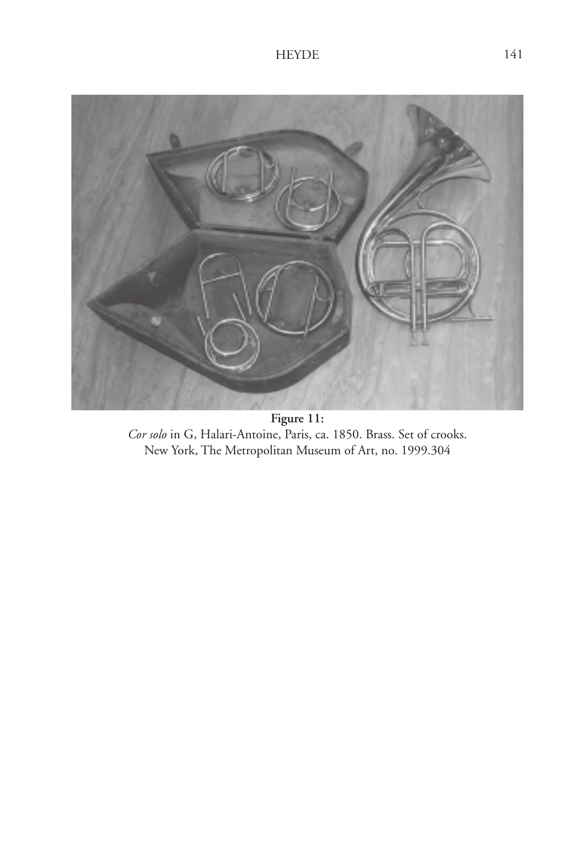

**Figure 11:** *Cor solo* in G, Halari-Antoine, Paris, ca. 1850. Brass. Set of crooks. New York, The Metropolitan Museum of Art, no. 1999.304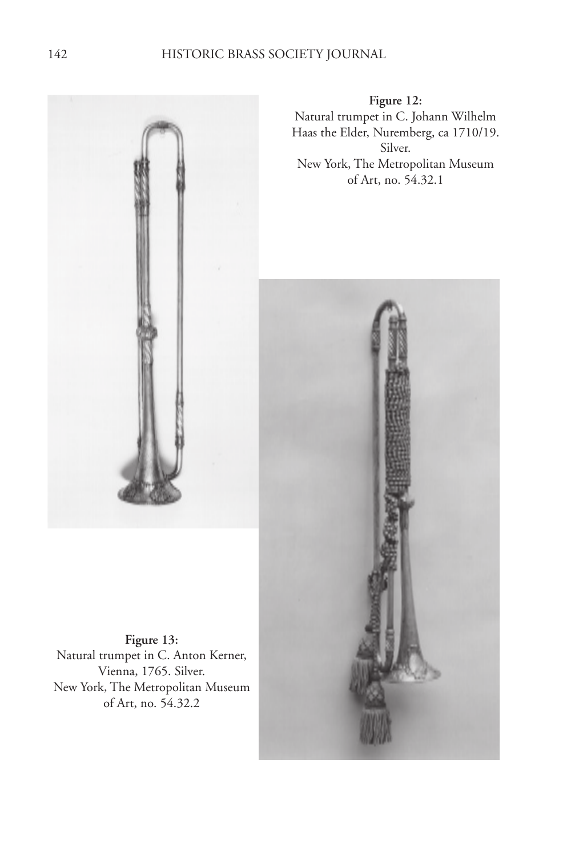

Natural trumpet in C. Anton Kerner, Vienna, 1765. Silver. New York, The Metropolitan Museum of Art, no. 54.32.2

**Figure 13:**

**Figure 12:** Natural trumpet in C. Johann Wilhelm Haas the Elder, Nuremberg, ca 1710/19. Silver. New York, The Metropolitan Museum of Art, no. 54.32.1

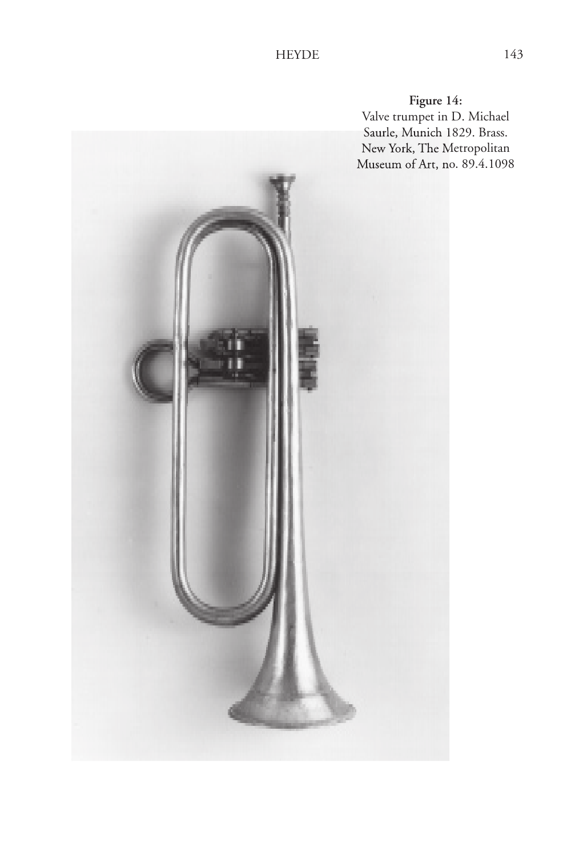**Figure 14:**

Valve trumpet in D. Michael Saurle, Munich 1829. Brass. New York, The Metropolitan Museum of Art, no. 89.4.1098

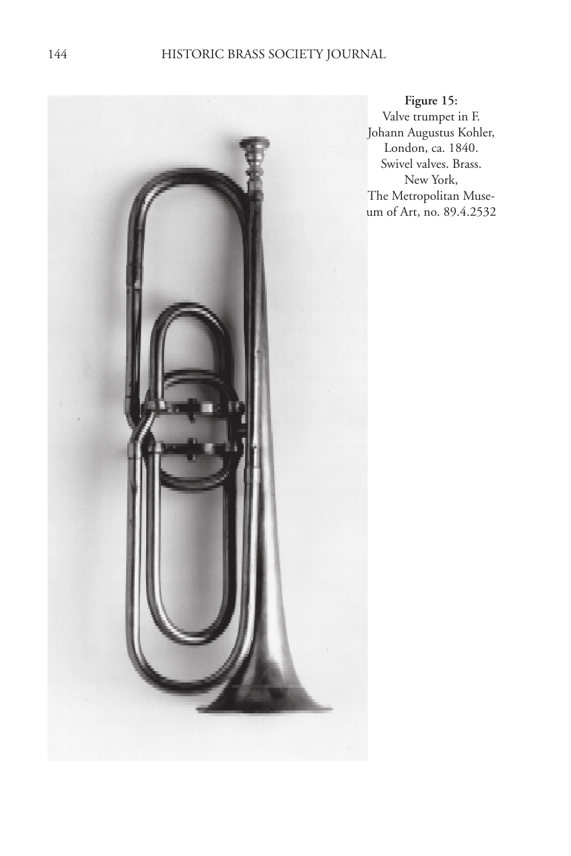

**Figure 15:** Valve trumpet in F. Johann Augustus Kohler, London, ca. 1840. Swivel valves. Brass. New York, The Metropolitan Museum of Art, no. 89.4.2532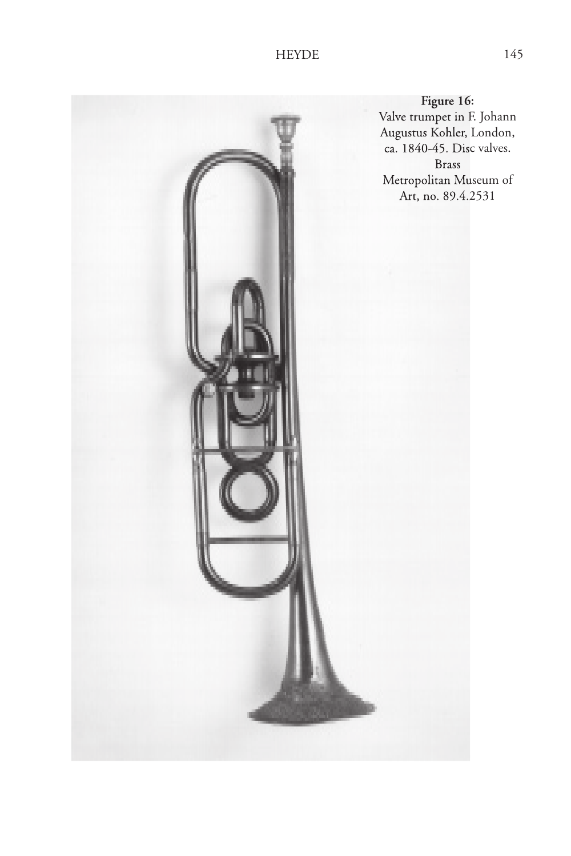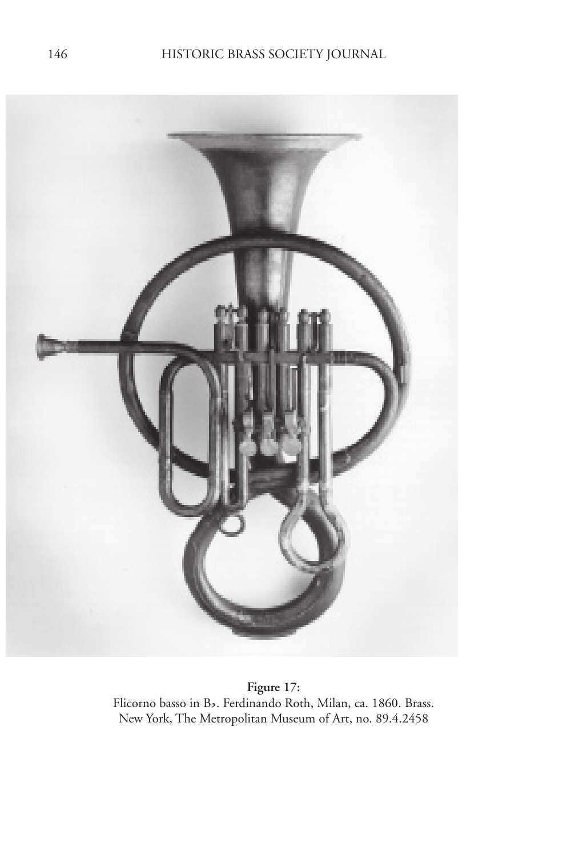

**Figure 17:** Flicorno basso in Bf. Ferdinando Roth, Milan, ca. 1860. Brass. New York, The Metropolitan Museum of Art, no. 89.4.2458